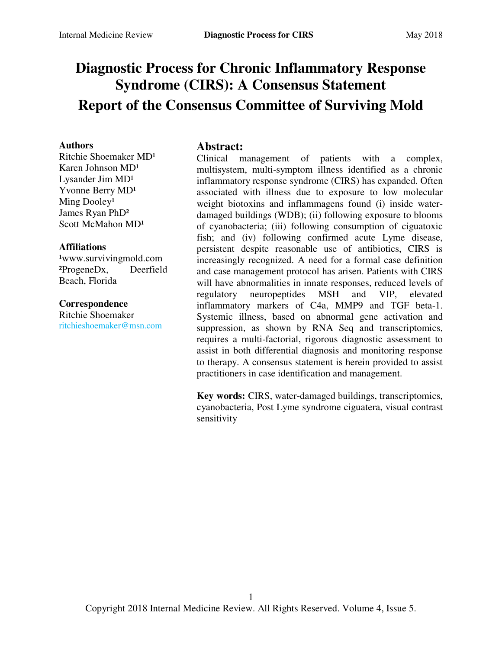# **Diagnostic Process for Chronic Inflammatory Response Syndrome (CIRS): A Consensus Statement Report of the Consensus Committee of Surviving Mold**

#### **Authors**

Ritchie Shoemaker MD<sup>1</sup> Karen Johnson MD<sup>1</sup> Lysander Jim  $MD<sup>1</sup>$ Yvonne Berry MD<sup>1</sup> Ming Dooley<sup>1</sup> James Ryan PhD² Scott McMahon MD<sup>1</sup>

#### **Affiliations**

<sup>1</sup>www.survivingmold.com ²ProgeneDx, Deerfield Beach, Florida

#### **Correspondence**

Ritchie Shoemaker [ritchieshoemaker@msn.com](mailto:ritchieshoemaker@msn.com) 

#### **Abstract:**

Clinical management of patients with a complex, multisystem, multi-symptom illness identified as a chronic inflammatory response syndrome (CIRS) has expanded. Often associated with illness due to exposure to low molecular weight biotoxins and inflammagens found (i) inside waterdamaged buildings (WDB); (ii) following exposure to blooms of cyanobacteria; (iii) following consumption of ciguatoxic fish; and (iv) following confirmed acute Lyme disease, persistent despite reasonable use of antibiotics, CIRS is increasingly recognized. A need for a formal case definition and case management protocol has arisen. Patients with CIRS will have abnormalities in innate responses, reduced levels of regulatory neuropeptides MSH and VIP, elevated inflammatory markers of C4a, MMP9 and TGF beta-1. Systemic illness, based on abnormal gene activation and suppression, as shown by RNA Seq and transcriptomics, requires a multi-factorial, rigorous diagnostic assessment to assist in both differential diagnosis and monitoring response to therapy. A consensus statement is herein provided to assist practitioners in case identification and management.

**Key words:** CIRS, water-damaged buildings, transcriptomics, cyanobacteria, Post Lyme syndrome ciguatera, visual contrast sensitivity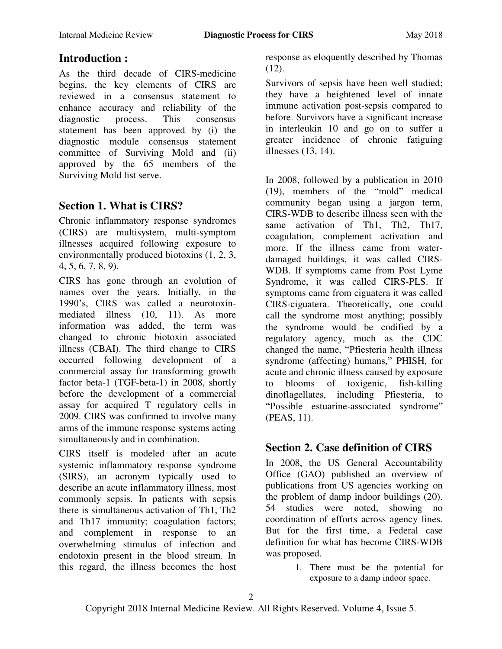# **Introduction :**

As the third decade of CIRS-medicine begins, the key elements of CIRS are reviewed in a consensus statement to enhance accuracy and reliability of the diagnostic process. This consensus statement has been approved by (i) the diagnostic module consensus statement committee of Surviving Mold and (ii) approved by the 65 members of the Surviving Mold list serve.

### **Section 1. What is CIRS?**

Chronic inflammatory response syndromes (CIRS) are multisystem, multi-symptom illnesses acquired following exposure to environmentally produced biotoxins (1, 2, 3, 4, 5, 6, 7, 8, 9).

CIRS has gone through an evolution of names over the years. Initially, in the 1990's, CIRS was called a neurotoxinmediated illness (10, 11). As more information was added, the term was changed to chronic biotoxin associated illness (CBAI). The third change to CIRS occurred following development of a commercial assay for transforming growth factor beta-1 (TGF-beta-1) in 2008, shortly before the development of a commercial assay for acquired T regulatory cells in 2009. CIRS was confirmed to involve many arms of the immune response systems acting simultaneously and in combination.

CIRS itself is modeled after an acute systemic inflammatory response syndrome (SIRS), an acronym typically used to describe an acute inflammatory illness, most commonly sepsis. In patients with sepsis there is simultaneous activation of Th1, Th2 and Th17 immunity; coagulation factors; and complement in response to an overwhelming stimulus of infection and endotoxin present in the blood stream. In this regard, the illness becomes the host response as eloquently described by Thomas  $(12)$ .

Survivors of sepsis have been well studied; they have a heightened level of innate immune activation post-sepsis compared to before. Survivors have a significant increase in interleukin 10 and go on to suffer a greater incidence of chronic fatiguing illnesses (13, 14).

In 2008, followed by a publication in 2010  $(19)$ , members of the "mold" medical community began using a jargon term, CIRS-WDB to describe illness seen with the same activation of Th1, Th2, Th17, coagulation, complement activation and more. If the illness came from waterdamaged buildings, it was called CIRS-WDB. If symptoms came from Post Lyme Syndrome, it was called CIRS-PLS. If symptoms came from ciguatera it was called CIRS-ciguatera. Theoretically, one could call the syndrome most anything; possibly the syndrome would be codified by a regulatory agency, much as the CDC changed the name, "Pfiesteria health illness syndrome (affecting) humans," PHISH, for acute and chronic illness caused by exposure to blooms of toxigenic, fish-killing dinoflagellates, including Pfiesteria, to "Possible estuarine-associated syndrome" (PEAS, 11).

# **Section 2. Case definition of CIRS**

In 2008, the US General Accountability Office (GAO) published an overview of publications from US agencies working on the problem of damp indoor buildings (20). 54 studies were noted, showing no coordination of efforts across agency lines. But for the first time, a Federal case definition for what has become CIRS-WDB was proposed.

> 1. There must be the potential for exposure to a damp indoor space.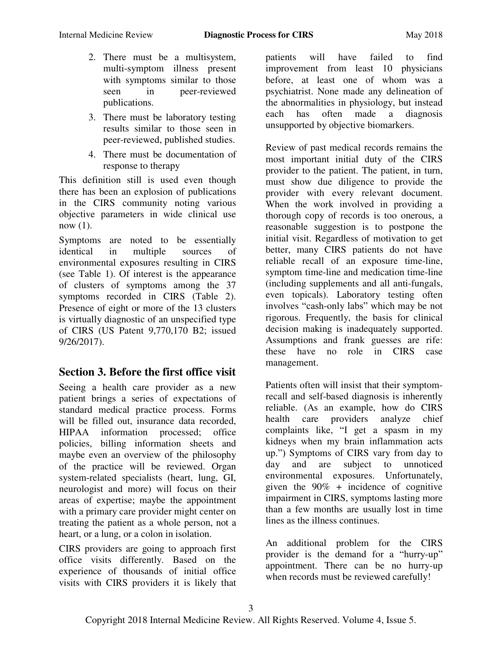- 2. There must be a multisystem, multi-symptom illness present with symptoms similar to those seen in peer-reviewed publications.
- 3. There must be laboratory testing results similar to those seen in peer-reviewed, published studies.
- 4. There must be documentation of response to therapy

This definition still is used even though there has been an explosion of publications in the CIRS community noting various objective parameters in wide clinical use now (1).

Symptoms are noted to be essentially identical in multiple sources of environmental exposures resulting in CIRS (see Table 1). Of interest is the appearance of clusters of symptoms among the 37 symptoms recorded in CIRS (Table 2). Presence of eight or more of the 13 clusters is virtually diagnostic of an unspecified type of CIRS (US Patent 9,770,170 B2; issued 9/26/2017).

### **Section 3. Before the first office visit**

Seeing a health care provider as a new patient brings a series of expectations of standard medical practice process. Forms will be filled out, insurance data recorded. HIPAA information processed; office policies, billing information sheets and maybe even an overview of the philosophy of the practice will be reviewed. Organ system-related specialists (heart, lung, GI, neurologist and more) will focus on their areas of expertise; maybe the appointment with a primary care provider might center on treating the patient as a whole person, not a heart, or a lung, or a colon in isolation.

CIRS providers are going to approach first office visits differently. Based on the experience of thousands of initial office visits with CIRS providers it is likely that patients will have failed to find improvement from least 10 physicians before, at least one of whom was a psychiatrist. None made any delineation of the abnormalities in physiology, but instead each has often made a diagnosis unsupported by objective biomarkers.

Review of past medical records remains the most important initial duty of the CIRS provider to the patient. The patient, in turn, must show due diligence to provide the provider with every relevant document. When the work involved in providing a thorough copy of records is too onerous, a reasonable suggestion is to postpone the initial visit. Regardless of motivation to get better, many CIRS patients do not have reliable recall of an exposure time-line, symptom time-line and medication time-line (including supplements and all anti-fungals, even topicals). Laboratory testing often involves "cash-only labs" which may be not rigorous. Frequently, the basis for clinical decision making is inadequately supported. Assumptions and frank guesses are rife: these have no role in CIRS case management.

Patients often will insist that their symptomrecall and self-based diagnosis is inherently reliable. (As an example, how do CIRS health care providers analyze chief complaints like, "I get a spasm in my kidneys when my brain inflammation acts up.‖) Symptoms of CIRS vary from day to day and are subject to unnoticed environmental exposures. Unfortunately, given the  $90\%$  + incidence of cognitive impairment in CIRS, symptoms lasting more than a few months are usually lost in time lines as the illness continues.

An additional problem for the CIRS provider is the demand for a "hurry-up" appointment. There can be no hurry-up when records must be reviewed carefully!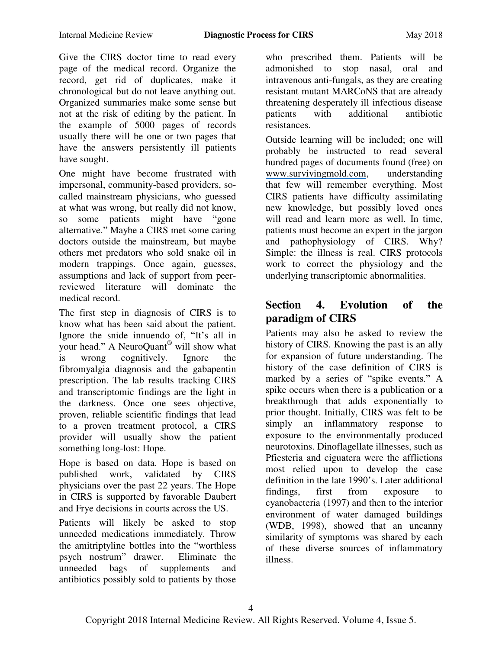Give the CIRS doctor time to read every page of the medical record. Organize the record, get rid of duplicates, make it chronological but do not leave anything out. Organized summaries make some sense but not at the risk of editing by the patient. In the example of 5000 pages of records usually there will be one or two pages that have the answers persistently ill patients have sought.

One might have become frustrated with impersonal, community-based providers, socalled mainstream physicians, who guessed at what was wrong, but really did not know, so some patients might have "gone" alternative." Maybe a CIRS met some caring doctors outside the mainstream, but maybe others met predators who sold snake oil in modern trappings. Once again, guesses, assumptions and lack of support from peerreviewed literature will dominate the medical record.

The first step in diagnosis of CIRS is to know what has been said about the patient. Ignore the snide innuendo of, "It's all in your head." A NeuroQuant<sup>®</sup> will show what is wrong cognitively. Ignore the fibromyalgia diagnosis and the gabapentin prescription. The lab results tracking CIRS and transcriptomic findings are the light in the darkness. Once one sees objective, proven, reliable scientific findings that lead to a proven treatment protocol, a CIRS provider will usually show the patient something long-lost: Hope.

Hope is based on data. Hope is based on published work, validated by CIRS physicians over the past 22 years. The Hope in CIRS is supported by favorable Daubert and Frye decisions in courts across the US.

Patients will likely be asked to stop unneeded medications immediately. Throw the amitriptyline bottles into the "worthless" psych nostrum" drawer. Eliminate the unneeded bags of supplements and antibiotics possibly sold to patients by those

who prescribed them. Patients will be admonished to stop nasal, oral and intravenous anti-fungals, as they are creating resistant mutant MARCoNS that are already threatening desperately ill infectious disease patients with additional antibiotic resistances.

Outside learning will be included; one will probably be instructed to read several hundred pages of documents found (free) on [www.survivingmold.com,](http://www.survivingmold.com/) understanding that few will remember everything. Most CIRS patients have difficulty assimilating new knowledge, but possibly loved ones will read and learn more as well. In time, patients must become an expert in the jargon and pathophysiology of CIRS. Why? Simple: the illness is real. CIRS protocols work to correct the physiology and the underlying transcriptomic abnormalities.

# **Section 4. Evolution of the paradigm of CIRS**

Patients may also be asked to review the history of CIRS. Knowing the past is an ally for expansion of future understanding. The history of the case definition of CIRS is marked by a series of "spike events." A spike occurs when there is a publication or a breakthrough that adds exponentially to prior thought. Initially, CIRS was felt to be simply an inflammatory response to exposure to the environmentally produced neurotoxins. Dinoflagellate illnesses, such as Pfiesteria and ciguatera were the afflictions most relied upon to develop the case definition in the late 1990's. Later additional findings, first from exposure to cyanobacteria (1997) and then to the interior environment of water damaged buildings (WDB, 1998), showed that an uncanny similarity of symptoms was shared by each of these diverse sources of inflammatory illness.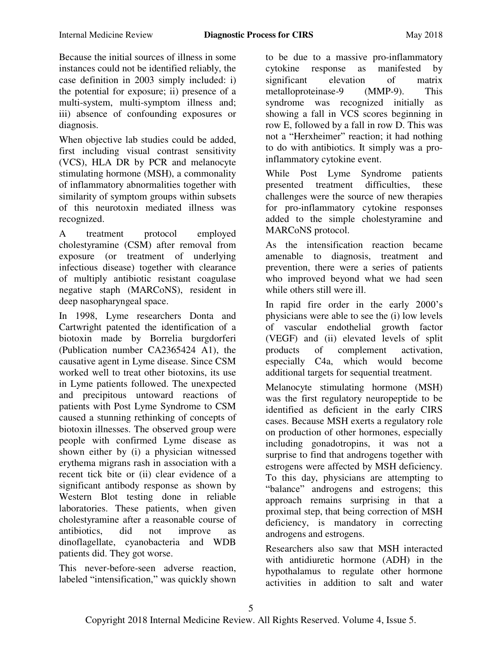Because the initial sources of illness in some instances could not be identified reliably, the case definition in 2003 simply included: i) the potential for exposure; ii) presence of a multi-system, multi-symptom illness and; iii) absence of confounding exposures or diagnosis.

When objective lab studies could be added, first including visual contrast sensitivity (VCS), HLA DR by PCR and melanocyte stimulating hormone (MSH), a commonality of inflammatory abnormalities together with similarity of symptom groups within subsets of this neurotoxin mediated illness was recognized.

A treatment protocol employed cholestyramine (CSM) after removal from exposure (or treatment of underlying infectious disease) together with clearance of multiply antibiotic resistant coagulase negative staph (MARCoNS), resident in deep nasopharyngeal space.

In 1998, Lyme researchers Donta and Cartwright patented the identification of a biotoxin made by Borrelia burgdorferi (Publication number CA2365424 A1), the causative agent in Lyme disease. Since CSM worked well to treat other biotoxins, its use in Lyme patients followed. The unexpected and precipitous untoward reactions of patients with Post Lyme Syndrome to CSM caused a stunning rethinking of concepts of biotoxin illnesses. The observed group were people with confirmed Lyme disease as shown either by (i) a physician witnessed erythema migrans rash in association with a recent tick bite or (ii) clear evidence of a significant antibody response as shown by Western Blot testing done in reliable laboratories. These patients, when given cholestyramine after a reasonable course of antibiotics, did not improve as dinoflagellate, cyanobacteria and WDB patients did. They got worse.

This never-before-seen adverse reaction, labeled "intensification," was quickly shown to be due to a massive pro-inflammatory cytokine response as manifested by significant elevation of matrix metalloproteinase-9 (MMP-9). This syndrome was recognized initially as showing a fall in VCS scores beginning in row E, followed by a fall in row D. This was not a "Herxheimer" reaction; it had nothing to do with antibiotics. It simply was a proinflammatory cytokine event.

While Post Lyme Syndrome patients presented treatment difficulties, these challenges were the source of new therapies for pro-inflammatory cytokine responses added to the simple cholestyramine and MARCoNS protocol.

As the intensification reaction became amenable to diagnosis, treatment and prevention, there were a series of patients who improved beyond what we had seen while others still were ill.

In rapid fire order in the early 2000's physicians were able to see the (i) low levels of vascular endothelial growth factor (VEGF) and (ii) elevated levels of split products of complement activation, especially C4a, which would become additional targets for sequential treatment.

Melanocyte stimulating hormone (MSH) was the first regulatory neuropeptide to be identified as deficient in the early CIRS cases. Because MSH exerts a regulatory role on production of other hormones, especially including gonadotropins, it was not a surprise to find that androgens together with estrogens were affected by MSH deficiency. To this day, physicians are attempting to "balance" androgens and estrogens; this approach remains surprising in that a proximal step, that being correction of MSH deficiency, is mandatory in correcting androgens and estrogens.

Researchers also saw that MSH interacted with antidiuretic hormone (ADH) in the hypothalamus to regulate other hormone activities in addition to salt and water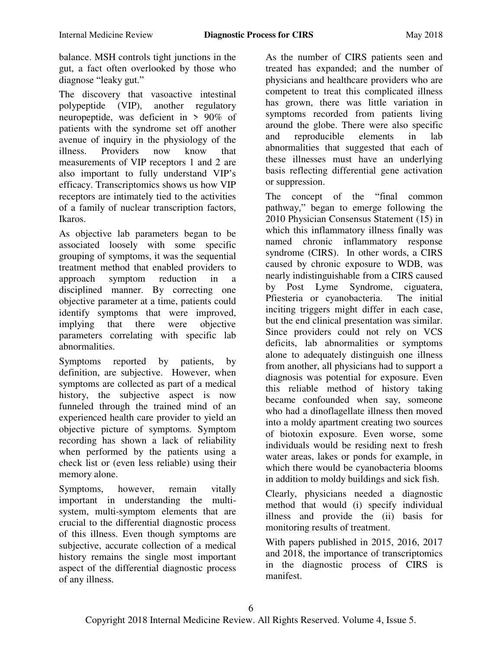balance. MSH controls tight junctions in the gut, a fact often overlooked by those who diagnose "leaky gut."

The discovery that vasoactive intestinal polypeptide (VIP), another regulatory neuropeptide, was deficient in > 90% of patients with the syndrome set off another avenue of inquiry in the physiology of the illness. Providers now know that measurements of VIP receptors 1 and 2 are also important to fully understand VIP's efficacy. Transcriptomics shows us how VIP receptors are intimately tied to the activities of a family of nuclear transcription factors, Ikaros.

As objective lab parameters began to be associated loosely with some specific grouping of symptoms, it was the sequential treatment method that enabled providers to approach symptom reduction in a disciplined manner. By correcting one objective parameter at a time, patients could identify symptoms that were improved, implying that there were objective parameters correlating with specific lab abnormalities.

Symptoms reported by patients, by definition, are subjective. However, when symptoms are collected as part of a medical history, the subjective aspect is now funneled through the trained mind of an experienced health care provider to yield an objective picture of symptoms. Symptom recording has shown a lack of reliability when performed by the patients using a check list or (even less reliable) using their memory alone.

Symptoms, however, remain vitally important in understanding the multisystem, multi-symptom elements that are crucial to the differential diagnostic process of this illness. Even though symptoms are subjective, accurate collection of a medical history remains the single most important aspect of the differential diagnostic process of any illness.

As the number of CIRS patients seen and treated has expanded; and the number of physicians and healthcare providers who are competent to treat this complicated illness has grown, there was little variation in symptoms recorded from patients living around the globe. There were also specific and reproducible elements in lab abnormalities that suggested that each of these illnesses must have an underlying basis reflecting differential gene activation or suppression.

The concept of the "final common pathway," began to emerge following the 2010 Physician Consensus Statement (15) in which this inflammatory illness finally was named chronic inflammatory response syndrome (CIRS). In other words, a CIRS caused by chronic exposure to WDB, was nearly indistinguishable from a CIRS caused by Post Lyme Syndrome, ciguatera, Pfiesteria or cyanobacteria. The initial inciting triggers might differ in each case, but the end clinical presentation was similar. Since providers could not rely on VCS deficits, lab abnormalities or symptoms alone to adequately distinguish one illness from another, all physicians had to support a diagnosis was potential for exposure. Even this reliable method of history taking became confounded when say, someone who had a dinoflagellate illness then moved into a moldy apartment creating two sources of biotoxin exposure. Even worse, some individuals would be residing next to fresh water areas, lakes or ponds for example, in which there would be cyanobacteria blooms in addition to moldy buildings and sick fish.

Clearly, physicians needed a diagnostic method that would (i) specify individual illness and provide the (ii) basis for monitoring results of treatment.

With papers published in 2015, 2016, 2017 and 2018, the importance of transcriptomics in the diagnostic process of CIRS is manifest.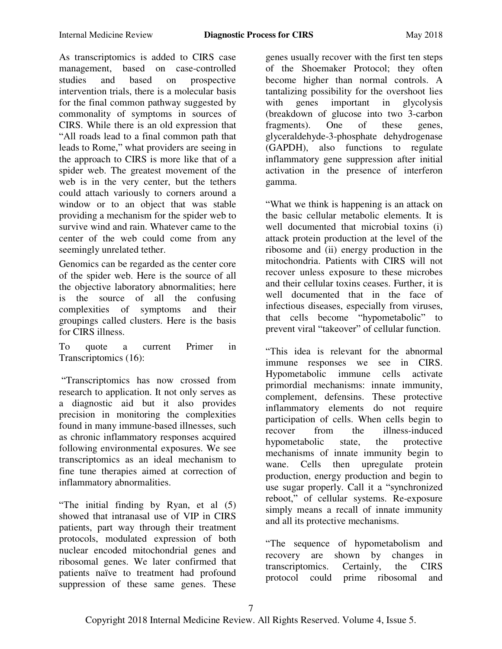As transcriptomics is added to CIRS case management, based on case-controlled studies and based on prospective intervention trials, there is a molecular basis for the final common pathway suggested by commonality of symptoms in sources of CIRS. While there is an old expression that ―All roads lead to a final common path that leads to Rome," what providers are seeing in the approach to CIRS is more like that of a spider web. The greatest movement of the web is in the very center, but the tethers could attach variously to corners around a window or to an object that was stable providing a mechanism for the spider web to survive wind and rain. Whatever came to the center of the web could come from any seemingly unrelated tether.

Genomics can be regarded as the center core of the spider web. Here is the source of all the objective laboratory abnormalities; here is the source of all the confusing complexities of symptoms and their groupings called clusters. Here is the basis for CIRS illness.

To quote a current Primer in Transcriptomics (16):

―Transcriptomics has now crossed from research to application. It not only serves as a diagnostic aid but it also provides precision in monitoring the complexities found in many immune-based illnesses, such as chronic inflammatory responses acquired following environmental exposures. We see transcriptomics as an ideal mechanism to fine tune therapies aimed at correction of inflammatory abnormalities.

"The initial finding by Ryan, et al (5) showed that intranasal use of VIP in CIRS patients, part way through their treatment protocols, modulated expression of both nuclear encoded mitochondrial genes and ribosomal genes. We later confirmed that patients naïve to treatment had profound suppression of these same genes. These

genes usually recover with the first ten steps of the Shoemaker Protocol; they often become higher than normal controls. A tantalizing possibility for the overshoot lies with genes important in glycolysis (breakdown of glucose into two 3-carbon fragments). One of these genes, glyceraldehyde-3-phosphate dehydrogenase (GAPDH), also functions to regulate inflammatory gene suppression after initial activation in the presence of interferon gamma.

―What we think is happening is an attack on the basic cellular metabolic elements. It is well documented that microbial toxins (i) attack protein production at the level of the ribosome and (ii) energy production in the mitochondria. Patients with CIRS will not recover unless exposure to these microbes and their cellular toxins ceases. Further, it is well documented that in the face of infectious diseases, especially from viruses, that cells become "hypometabolic" to prevent viral "takeover" of cellular function.

―This idea is relevant for the abnormal immune responses we see in CIRS. Hypometabolic immune cells activate primordial mechanisms: innate immunity, complement, defensins. These protective inflammatory elements do not require participation of cells. When cells begin to recover from the illness-induced hypometabolic state, the protective mechanisms of innate immunity begin to wane. Cells then upregulate protein production, energy production and begin to use sugar properly. Call it a "synchronized" reboot," of cellular systems. Re-exposure simply means a recall of innate immunity and all its protective mechanisms.

"The sequence of hypometabolism and recovery are shown by changes in transcriptomics. Certainly, the CIRS protocol could prime ribosomal and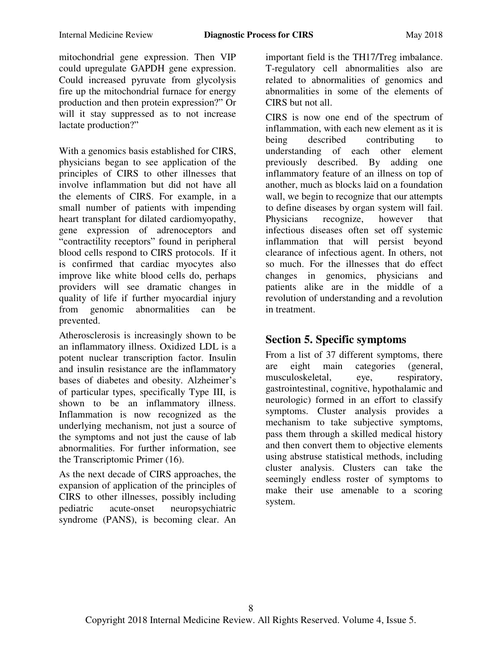mitochondrial gene expression. Then VIP could upregulate GAPDH gene expression. Could increased pyruvate from glycolysis fire up the mitochondrial furnace for energy production and then protein expression?" Or will it stay suppressed as to not increase lactate production?"

With a genomics basis established for CIRS, physicians began to see application of the principles of CIRS to other illnesses that involve inflammation but did not have all the elements of CIRS. For example, in a small number of patients with impending heart transplant for dilated cardiomyopathy, gene expression of adrenoceptors and "contractility receptors" found in peripheral blood cells respond to CIRS protocols. If it is confirmed that cardiac myocytes also improve like white blood cells do, perhaps providers will see dramatic changes in quality of life if further myocardial injury from genomic abnormalities can be prevented.

Atherosclerosis is increasingly shown to be an inflammatory illness. Oxidized LDL is a potent nuclear transcription factor. Insulin and insulin resistance are the inflammatory bases of diabetes and obesity. Alzheimer's of particular types, specifically Type III, is shown to be an inflammatory illness. Inflammation is now recognized as the underlying mechanism, not just a source of the symptoms and not just the cause of lab abnormalities. For further information, see the Transcriptomic Primer (16).

As the next decade of CIRS approaches, the expansion of application of the principles of CIRS to other illnesses, possibly including pediatric acute-onset neuropsychiatric syndrome (PANS), is becoming clear. An

important field is the TH17/Treg imbalance. T-regulatory cell abnormalities also are related to abnormalities of genomics and abnormalities in some of the elements of CIRS but not all.

CIRS is now one end of the spectrum of inflammation, with each new element as it is being described contributing to understanding of each other element previously described. By adding one inflammatory feature of an illness on top of another, much as blocks laid on a foundation wall, we begin to recognize that our attempts to define diseases by organ system will fail. Physicians recognize, however that infectious diseases often set off systemic inflammation that will persist beyond clearance of infectious agent. In others, not so much. For the illnesses that do effect changes in genomics, physicians and patients alike are in the middle of a revolution of understanding and a revolution in treatment.

# **Section 5. Specific symptoms**

From a list of 37 different symptoms, there are eight main categories (general, musculoskeletal, eye, respiratory, gastrointestinal, cognitive, hypothalamic and neurologic) formed in an effort to classify symptoms. Cluster analysis provides a mechanism to take subjective symptoms, pass them through a skilled medical history and then convert them to objective elements using abstruse statistical methods, including cluster analysis. Clusters can take the seemingly endless roster of symptoms to make their use amenable to a scoring system.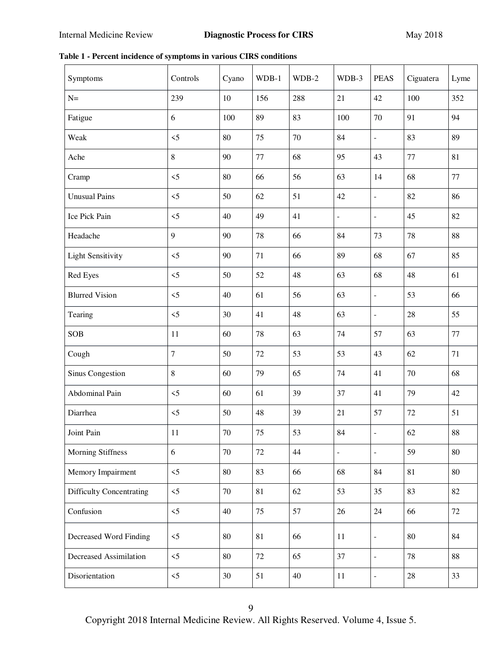**Table 1 - Percent incidence of symptoms in various CIRS conditions** 

| Symptoms                        | Controls       | Cyano | WDB-1 | WDB-2 | WDB-3          | <b>PEAS</b>    | Ciguatera | Lyme     |
|---------------------------------|----------------|-------|-------|-------|----------------|----------------|-----------|----------|
| $N=$                            | 239            | 10    | 156   | 288   | 21             | 42             | 100       | 352      |
| Fatigue                         | 6              | 100   | 89    | 83    | 100            | 70             | 91        | 94       |
| Weak                            | $\leq$         | 80    | 75    | 70    | 84             | $\overline{a}$ | 83        | 89       |
| Ache                            | 8              | 90    | 77    | 68    | 95             | 43             | 77        | 81       |
| Cramp                           | $\leq$         | 80    | 66    | 56    | 63             | 14             | 68        | 77       |
| <b>Unusual Pains</b>            | $\leq$         | 50    | 62    | 51    | 42             | $\overline{a}$ | 82        | 86       |
| Ice Pick Pain                   | $\leq$         | 40    | 49    | 41    | ÷,             | $\overline{a}$ | 45        | 82       |
| Headache                        | 9              | 90    | 78    | 66    | 84             | 73             | 78        | 88       |
| <b>Light Sensitivity</b>        | $\leq$         | 90    | 71    | 66    | 89             | 68             | 67        | 85       |
| Red Eyes                        | $\leq$         | 50    | 52    | 48    | 63             | 68             | 48        | 61       |
| <b>Blurred Vision</b>           | $\leq$         | 40    | 61    | 56    | 63             | $\overline{a}$ | 53        | 66       |
| Tearing                         | $\leq$         | 30    | 41    | 48    | 63             | $\overline{a}$ | 28        | 55       |
| <b>SOB</b>                      | 11             | 60    | 78    | 63    | 74             | 57             | 63        | 77       |
| Cough                           | $\overline{7}$ | 50    | 72    | 53    | 53             | 43             | 62        | 71       |
| Sinus Congestion                | 8              | 60    | 79    | 65    | 74             | 41             | 70        | 68       |
| Abdominal Pain                  | $\leq$         | 60    | 61    | 39    | 37             | 41             | 79        | 42       |
| Diarrhea                        | $\leq$         | 50    | 48    | 39    | 21             | 57             | 72        | 51       |
| Joint Pain                      | 11             | 70    | 75    | 53    | 84             |                | 62        | $\bf 88$ |
| <b>Morning Stiffness</b>        | 6              | 70    | 72    | 44    | $\blacksquare$ | $\frac{1}{2}$  | 59        | 80       |
| Memory Impairment               | $<5\,$         | 80    | 83    | 66    | 68             | 84             | 81        | $80\,$   |
| <b>Difficulty Concentrating</b> | $\leq$         | 70    | 81    | 62    | 53             | 35             | 83        | 82       |
| Confusion                       | $<5$           | 40    | 75    | 57    | 26             | 24             | 66        | 72       |
| Decreased Word Finding          | $\leq$         | 80    | 81    | 66    | 11             | $\blacksquare$ | 80        | 84       |
| Decreased Assimilation          | $\leq$         | 80    | 72    | 65    | 37             | $\frac{1}{2}$  | 78        | 88       |
| Disorientation                  | $\leq$         | 30    | 51    | 40    | $11\,$         | $\blacksquare$ | 28        | 33       |

Copyright 2018 Internal Medicine Review. All Rights Reserved. Volume 4, Issue 5.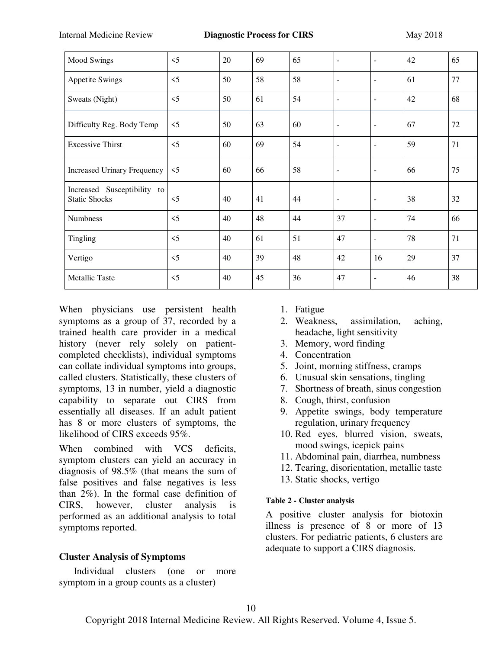| <b>Mood Swings</b>                                  | $\leq$ 5 | 20 | 69 | 65 | $\sim$                   | $\blacksquare$           | 42 | 65 |
|-----------------------------------------------------|----------|----|----|----|--------------------------|--------------------------|----|----|
| <b>Appetite Swings</b>                              | $\leq$ 5 | 50 | 58 | 58 | ٠                        | $\overline{\phantom{a}}$ | 61 | 77 |
| Sweats (Night)                                      | $\leq$ 5 | 50 | 61 | 54 | $\overline{\phantom{a}}$ | $\overline{\phantom{a}}$ | 42 | 68 |
| Difficulty Reg. Body Temp                           | $\leq$ 5 | 50 | 63 | 60 | $\blacksquare$           | $\overline{\phantom{a}}$ | 67 | 72 |
| <b>Excessive Thirst</b>                             | $\leq$ 5 | 60 | 69 | 54 | $\blacksquare$           | $\overline{\phantom{a}}$ | 59 | 71 |
| <b>Increased Urinary Frequency</b>                  | $\leq$ 5 | 60 | 66 | 58 | $\overline{\phantom{a}}$ | $\overline{\phantom{a}}$ | 66 | 75 |
| Increased Susceptibility to<br><b>Static Shocks</b> | $\leq$   | 40 | 41 | 44 | ٠                        | $\overline{\phantom{a}}$ | 38 | 32 |
| <b>Numbness</b>                                     | $\leq$ 5 | 40 | 48 | 44 | 37                       | $\overline{\phantom{a}}$ | 74 | 66 |
| Tingling                                            | $\leq$ 5 | 40 | 61 | 51 | 47                       | $\overline{\phantom{a}}$ | 78 | 71 |
| Vertigo                                             | $\leq$ 5 | 40 | 39 | 48 | 42                       | 16                       | 29 | 37 |
| <b>Metallic Taste</b>                               | $\leq$ 5 | 40 | 45 | 36 | 47                       | $\overline{\phantom{a}}$ | 46 | 38 |

When physicians use persistent health symptoms as a group of 37, recorded by a trained health care provider in a medical history (never rely solely on patientcompleted checklists), individual symptoms can collate individual symptoms into groups, called clusters. Statistically, these clusters of symptoms, 13 in number, yield a diagnostic capability to separate out CIRS from essentially all diseases. If an adult patient has 8 or more clusters of symptoms, the likelihood of CIRS exceeds 95%.

When combined with VCS deficits, symptom clusters can yield an accuracy in diagnosis of 98.5% (that means the sum of false positives and false negatives is less than 2%). In the formal case definition of CIRS, however, cluster analysis is performed as an additional analysis to total symptoms reported.

#### **Cluster Analysis of Symptoms**

 Individual clusters (one or more symptom in a group counts as a cluster)

- 1. Fatigue
- 2. Weakness, assimilation, aching, headache, light sensitivity
- 3. Memory, word finding
- 4. Concentration
- 5. Joint, morning stiffness, cramps
- 6. Unusual skin sensations, tingling
- 7. Shortness of breath, sinus congestion
- 8. Cough, thirst, confusion
- 9. Appetite swings, body temperature regulation, urinary frequency
- 10. Red eyes, blurred vision, sweats, mood swings, icepick pains
- 11. Abdominal pain, diarrhea, numbness
- 12. Tearing, disorientation, metallic taste
- 13. Static shocks, vertigo

#### **Table 2 - Cluster analysis**

A positive cluster analysis for biotoxin illness is presence of 8 or more of 13 clusters. For pediatric patients, 6 clusters are adequate to support a CIRS diagnosis.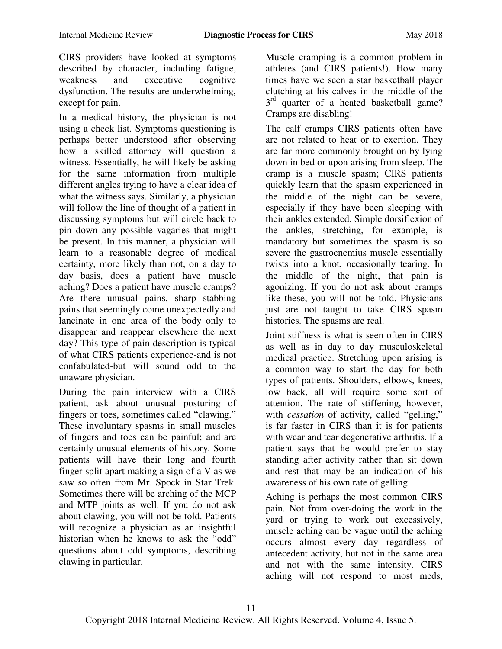CIRS providers have looked at symptoms described by character, including fatigue, weakness and executive cognitive dysfunction. The results are underwhelming, except for pain.

In a medical history, the physician is not using a check list. Symptoms questioning is perhaps better understood after observing how a skilled attorney will question a witness. Essentially, he will likely be asking for the same information from multiple different angles trying to have a clear idea of what the witness says. Similarly, a physician will follow the line of thought of a patient in discussing symptoms but will circle back to pin down any possible vagaries that might be present. In this manner, a physician will learn to a reasonable degree of medical certainty, more likely than not, on a day to day basis, does a patient have muscle aching? Does a patient have muscle cramps? Are there unusual pains, sharp stabbing pains that seemingly come unexpectedly and lancinate in one area of the body only to disappear and reappear elsewhere the next day? This type of pain description is typical of what CIRS patients experience-and is not confabulated-but will sound odd to the unaware physician.

During the pain interview with a CIRS patient, ask about unusual posturing of fingers or toes, sometimes called "clawing." These involuntary spasms in small muscles of fingers and toes can be painful; and are certainly unusual elements of history. Some patients will have their long and fourth finger split apart making a sign of a V as we saw so often from Mr. Spock in Star Trek. Sometimes there will be arching of the MCP and MTP joints as well. If you do not ask about clawing, you will not be told. Patients will recognize a physician as an insightful historian when he knows to ask the "odd" questions about odd symptoms, describing clawing in particular.

Muscle cramping is a common problem in athletes (and CIRS patients!). How many times have we seen a star basketball player clutching at his calves in the middle of the 3<sup>rd</sup> quarter of a heated basketball game? Cramps are disabling!

The calf cramps CIRS patients often have are not related to heat or to exertion. They are far more commonly brought on by lying down in bed or upon arising from sleep. The cramp is a muscle spasm; CIRS patients quickly learn that the spasm experienced in the middle of the night can be severe, especially if they have been sleeping with their ankles extended. Simple dorsiflexion of the ankles, stretching, for example, is mandatory but sometimes the spasm is so severe the gastrocnemius muscle essentially twists into a knot, occasionally tearing. In the middle of the night, that pain is agonizing. If you do not ask about cramps like these, you will not be told. Physicians just are not taught to take CIRS spasm histories. The spasms are real.

Joint stiffness is what is seen often in CIRS as well as in day to day musculoskeletal medical practice. Stretching upon arising is a common way to start the day for both types of patients. Shoulders, elbows, knees, low back, all will require some sort of attention. The rate of stiffening, however, with *cessation* of activity, called "gelling," is far faster in CIRS than it is for patients with wear and tear degenerative arthritis. If a patient says that he would prefer to stay standing after activity rather than sit down and rest that may be an indication of his awareness of his own rate of gelling.

Aching is perhaps the most common CIRS pain. Not from over-doing the work in the yard or trying to work out excessively, muscle aching can be vague until the aching occurs almost every day regardless of antecedent activity, but not in the same area and not with the same intensity. CIRS aching will not respond to most meds,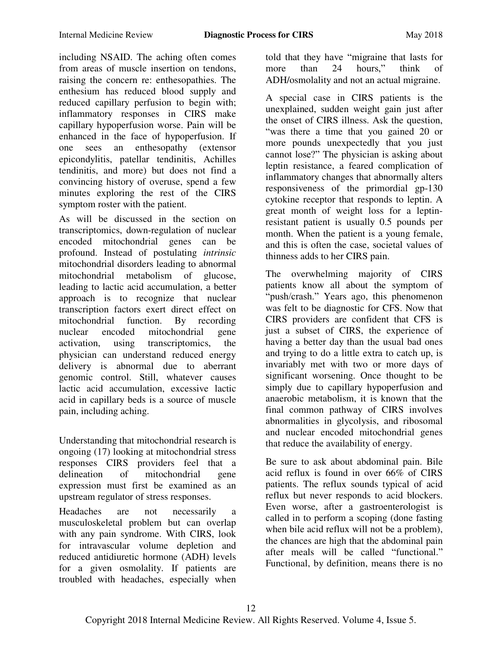including NSAID. The aching often comes from areas of muscle insertion on tendons, raising the concern re: enthesopathies. The enthesium has reduced blood supply and reduced capillary perfusion to begin with; inflammatory responses in CIRS make capillary hypoperfusion worse. Pain will be enhanced in the face of hypoperfusion. If one sees an enthesopathy (extensor epicondylitis, patellar tendinitis, Achilles tendinitis, and more) but does not find a convincing history of overuse, spend a few minutes exploring the rest of the CIRS symptom roster with the patient.

As will be discussed in the section on transcriptomics, down-regulation of nuclear encoded mitochondrial genes can be profound. Instead of postulating *intrinsic* mitochondrial disorders leading to abnormal mitochondrial metabolism of glucose, leading to lactic acid accumulation, a better approach is to recognize that nuclear transcription factors exert direct effect on<br>mitochondrial function. By recording By recording. nuclear encoded mitochondrial gene activation, using transcriptomics, the physician can understand reduced energy delivery is abnormal due to aberrant genomic control. Still, whatever causes lactic acid accumulation, excessive lactic acid in capillary beds is a source of muscle pain, including aching.

Understanding that mitochondrial research is ongoing (17) looking at mitochondrial stress responses CIRS providers feel that a delineation of mitochondrial gene expression must first be examined as an upstream regulator of stress responses.

Headaches are not necessarily a musculoskeletal problem but can overlap with any pain syndrome. With CIRS, look for intravascular volume depletion and reduced antidiuretic hormone (ADH) levels for a given osmolality. If patients are troubled with headaches, especially when

told that they have "migraine that lasts for more than 24 hours," think of ADH/osmolality and not an actual migraine.

A special case in CIRS patients is the unexplained, sudden weight gain just after the onset of CIRS illness. Ask the question, "was there a time that you gained 20 or more pounds unexpectedly that you just cannot lose?" The physician is asking about leptin resistance, a feared complication of inflammatory changes that abnormally alters responsiveness of the primordial gp-130 cytokine receptor that responds to leptin. A great month of weight loss for a leptinresistant patient is usually 0.5 pounds per month. When the patient is a young female, and this is often the case, societal values of thinness adds to her CIRS pain.

The overwhelming majority of CIRS patients know all about the symptom of "push/crash." Years ago, this phenomenon was felt to be diagnostic for CFS. Now that CIRS providers are confident that CFS is just a subset of CIRS, the experience of having a better day than the usual bad ones and trying to do a little extra to catch up, is invariably met with two or more days of significant worsening. Once thought to be simply due to capillary hypoperfusion and anaerobic metabolism, it is known that the final common pathway of CIRS involves abnormalities in glycolysis, and ribosomal and nuclear encoded mitochondrial genes that reduce the availability of energy.

Be sure to ask about abdominal pain. Bile acid reflux is found in over 66% of CIRS patients. The reflux sounds typical of acid reflux but never responds to acid blockers. Even worse, after a gastroenterologist is called in to perform a scoping (done fasting when bile acid reflux will not be a problem), the chances are high that the abdominal pain after meals will be called "functional." Functional, by definition, means there is no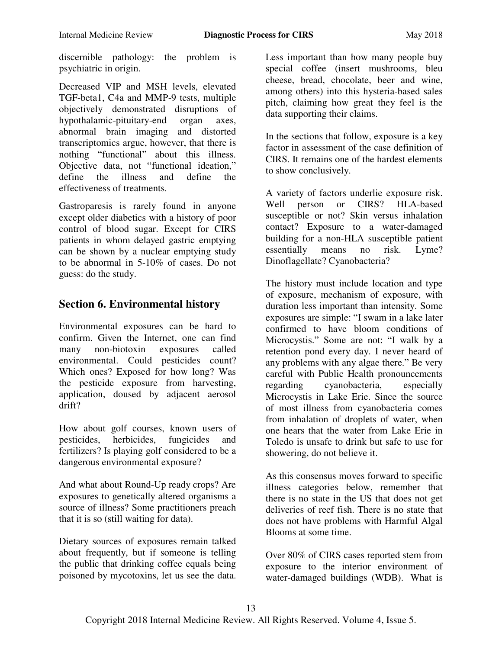discernible pathology: the problem is psychiatric in origin.

Decreased VIP and MSH levels, elevated TGF-beta1, C4a and MMP-9 tests, multiple objectively demonstrated disruptions of hypothalamic-pituitary-end organ axes, abnormal brain imaging and distorted transcriptomics argue, however, that there is nothing "functional" about this illness. Objective data, not "functional ideation,"<br>define the illness and define the define the illness and define the effectiveness of treatments.

Gastroparesis is rarely found in anyone except older diabetics with a history of poor control of blood sugar. Except for CIRS patients in whom delayed gastric emptying can be shown by a nuclear emptying study to be abnormal in 5-10% of cases. Do not guess: do the study.

### **Section 6. Environmental history**

Environmental exposures can be hard to confirm. Given the Internet, one can find many non-biotoxin exposures called environmental. Could pesticides count? Which ones? Exposed for how long? Was the pesticide exposure from harvesting, application, doused by adjacent aerosol drift?

How about golf courses, known users of pesticides, herbicides, fungicides and fertilizers? Is playing golf considered to be a dangerous environmental exposure?

And what about Round-Up ready crops? Are exposures to genetically altered organisms a source of illness? Some practitioners preach that it is so (still waiting for data).

Dietary sources of exposures remain talked about frequently, but if someone is telling the public that drinking coffee equals being poisoned by mycotoxins, let us see the data.

Less important than how many people buy special coffee (insert mushrooms, bleu cheese, bread, chocolate, beer and wine, among others) into this hysteria-based sales pitch, claiming how great they feel is the data supporting their claims.

In the sections that follow, exposure is a key factor in assessment of the case definition of CIRS. It remains one of the hardest elements to show conclusively.

A variety of factors underlie exposure risk. Well person or CIRS? HLA-based susceptible or not? Skin versus inhalation contact? Exposure to a water-damaged building for a non-HLA susceptible patient essentially means no risk. Lyme? Dinoflagellate? Cyanobacteria?

The history must include location and type of exposure, mechanism of exposure, with duration less important than intensity. Some exposures are simple: "I swam in a lake later confirmed to have bloom conditions of Microcystis." Some are not: "I walk by a retention pond every day. I never heard of any problems with any algae there." Be very careful with Public Health pronouncements regarding cyanobacteria, especially Microcystis in Lake Erie. Since the source of most illness from cyanobacteria comes from inhalation of droplets of water, when one hears that the water from Lake Erie in Toledo is unsafe to drink but safe to use for showering, do not believe it.

As this consensus moves forward to specific illness categories below, remember that there is no state in the US that does not get deliveries of reef fish. There is no state that does not have problems with Harmful Algal Blooms at some time.

Over 80% of CIRS cases reported stem from exposure to the interior environment of water-damaged buildings (WDB). What is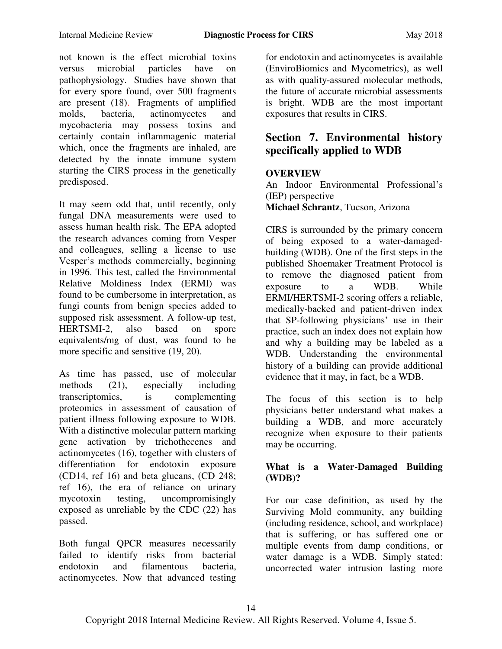not known is the effect microbial toxins versus microbial particles have on pathophysiology. Studies have shown that for every spore found, over 500 fragments are present (18). Fragments of amplified molds, bacteria, actinomycetes and mycobacteria may possess toxins and certainly contain inflammagenic material which, once the fragments are inhaled, are detected by the innate immune system starting the CIRS process in the genetically predisposed.

It may seem odd that, until recently, only fungal DNA measurements were used to assess human health risk. The EPA adopted the research advances coming from Vesper and colleagues, selling a license to use Vesper's methods commercially, beginning in 1996. This test, called the Environmental Relative Moldiness Index (ERMI) was found to be cumbersome in interpretation, as fungi counts from benign species added to supposed risk assessment. A follow-up test, HERTSMI-2, also based on spore equivalents/mg of dust, was found to be more specific and sensitive (19, 20).

As time has passed, use of molecular methods (21), especially including transcriptomics, is complementing proteomics in assessment of causation of patient illness following exposure to WDB. With a distinctive molecular pattern marking gene activation by trichothecenes and actinomycetes (16), together with clusters of differentiation for endotoxin exposure (CD14, ref 16) and beta glucans, (CD 248; ref 16), the era of reliance on urinary mycotoxin testing, uncompromisingly exposed as unreliable by the CDC (22) has passed.

Both fungal QPCR measures necessarily failed to identify risks from bacterial endotoxin and filamentous bacteria, actinomycetes. Now that advanced testing

for endotoxin and actinomycetes is available (EnviroBiomics and Mycometrics), as well as with quality-assured molecular methods, the future of accurate microbial assessments is bright. WDB are the most important exposures that results in CIRS.

# **Section 7. Environmental history specifically applied to WDB**

#### **OVERVIEW**

An Indoor Environmental Professional's (IEP) perspective **Michael Schrantz**, Tucson, Arizona

CIRS is surrounded by the primary concern of being exposed to a water-damagedbuilding (WDB). One of the first steps in the published Shoemaker Treatment Protocol is to remove the diagnosed patient from exposure to a WDB. While ERMI/HERTSMI-2 scoring offers a reliable, medically-backed and patient-driven index that SP-following physicians' use in their practice, such an index does not explain how and why a building may be labeled as a WDB. Understanding the environmental history of a building can provide additional evidence that it may, in fact, be a WDB.

The focus of this section is to help physicians better understand what makes a building a WDB, and more accurately recognize when exposure to their patients may be occurring.

#### **What is a Water-Damaged Building (WDB)?**

For our case definition, as used by the Surviving Mold community, any building (including residence, school, and workplace) that is suffering, or has suffered one or multiple events from damp conditions, or water damage is a WDB. Simply stated: uncorrected water intrusion lasting more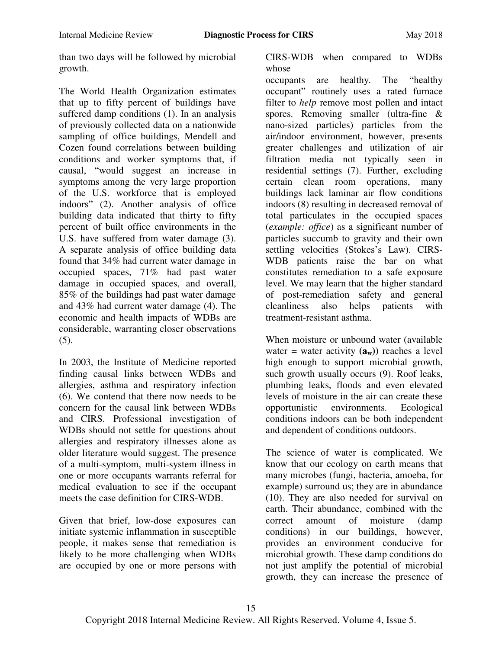than two days will be followed by microbial growth.

The World Health Organization estimates that up to fifty percent of buildings have suffered damp conditions (1). In an analysis of previously collected data on a nationwide sampling of office buildings, Mendell and Cozen found correlations between building conditions and worker symptoms that, if causal, "would suggest an increase in symptoms among the very large proportion of the U.S. workforce that is employed indoors" (2). Another analysis of office building data indicated that thirty to fifty percent of built office environments in the U.S. have suffered from water damage (3). A separate analysis of office building data found that 34% had current water damage in occupied spaces, 71% had past water damage in occupied spaces, and overall, 85% of the buildings had past water damage and 43% had current water damage (4). The economic and health impacts of WDBs are considerable, warranting closer observations (5).

In 2003, the Institute of Medicine reported finding causal links between WDBs and allergies, asthma and respiratory infection (6). We contend that there now needs to be concern for the causal link between WDBs and CIRS. Professional investigation of WDBs should not settle for questions about allergies and respiratory illnesses alone as older literature would suggest. The presence of a multi-symptom, multi-system illness in one or more occupants warrants referral for medical evaluation to see if the occupant meets the case definition for CIRS-WDB.

Given that brief, low-dose exposures can initiate systemic inflammation in susceptible people, it makes sense that remediation is likely to be more challenging when WDBs are occupied by one or more persons with

CIRS-WDB when compared to WDBs whose

occupants are healthy. The "healthy" occupant" routinely uses a rated furnace filter to *help* remove most pollen and intact spores. Removing smaller (ultra-fine & nano-sized particles) particles from the air/indoor environment, however, presents greater challenges and utilization of air filtration media not typically seen in residential settings (7). Further, excluding certain clean room operations, many buildings lack laminar air flow conditions indoors (8) resulting in decreased removal of total particulates in the occupied spaces (*example: office*) as a significant number of particles succumb to gravity and their own settling velocities (Stokes's Law). CIRS-WDB patients raise the bar on what constitutes remediation to a safe exposure level. We may learn that the higher standard of post-remediation safety and general cleanliness also helps patients with treatment-resistant asthma.

When moisture or unbound water (available water = water activity  $(a_w)$  reaches a level high enough to support microbial growth, such growth usually occurs (9). Roof leaks, plumbing leaks, floods and even elevated levels of moisture in the air can create these opportunistic environments. Ecological conditions indoors can be both independent and dependent of conditions outdoors.

The science of water is complicated. We know that our ecology on earth means that many microbes (fungi, bacteria, amoeba, for example) surround us; they are in abundance (10). They are also needed for survival on earth. Their abundance, combined with the correct amount of moisture (damp conditions) in our buildings, however, provides an environment conducive for microbial growth. These damp conditions do not just amplify the potential of microbial growth, they can increase the presence of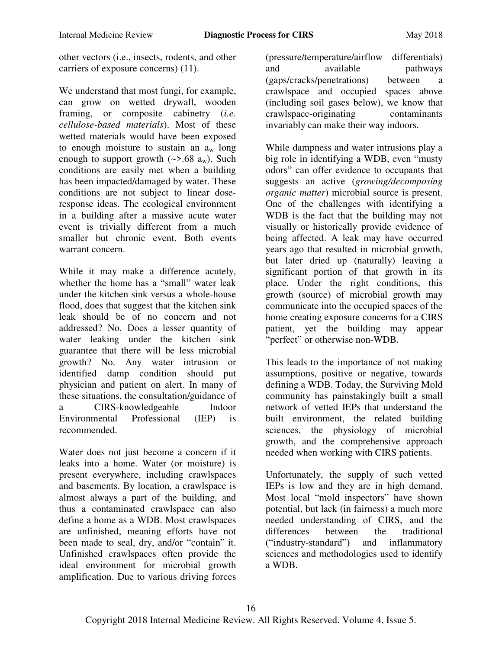other vectors (i.e., insects, rodents, and other carriers of exposure concerns) (11).

We understand that most fungi, for example, can grow on wetted drywall, wooden framing, or composite cabinetry (*i.e. cellulose-based materials*). Most of these wetted materials would have been exposed to enough moisture to sustain an  $a_w$  long enough to support growth  $(\sim$ >.68  $a_w$ ). Such conditions are easily met when a building has been impacted/damaged by water. These conditions are not subject to linear doseresponse ideas. The ecological environment in a building after a massive acute water event is trivially different from a much smaller but chronic event. Both events warrant concern.

While it may make a difference acutely, whether the home has a "small" water leak under the kitchen sink versus a whole-house flood, does that suggest that the kitchen sink leak should be of no concern and not addressed? No. Does a lesser quantity of water leaking under the kitchen sink guarantee that there will be less microbial growth? No. Any water intrusion or identified damp condition should put physician and patient on alert. In many of these situations, the consultation/guidance of a CIRS-knowledgeable Indoor Environmental Professional (IEP) is recommended.

Water does not just become a concern if it leaks into a home. Water (or moisture) is present everywhere, including crawlspaces and basements. By location, a crawlspace is almost always a part of the building, and thus a contaminated crawlspace can also define a home as a WDB. Most crawlspaces are unfinished, meaning efforts have not been made to seal, dry, and/or "contain" it. Unfinished crawlspaces often provide the ideal environment for microbial growth amplification. Due to various driving forces

(pressure/temperature/airflow differentials) and available pathways (gaps/cracks/penetrations) between a crawlspace and occupied spaces above (including soil gases below), we know that crawlspace-originating contaminants invariably can make their way indoors.

While dampness and water intrusions play a big role in identifying a WDB, even "musty" odors" can offer evidence to occupants that suggests an active (*growing/decomposing organic matter*) microbial source is present. One of the challenges with identifying a WDB is the fact that the building may not visually or historically provide evidence of being affected. A leak may have occurred years ago that resulted in microbial growth, but later dried up (naturally) leaving a significant portion of that growth in its place. Under the right conditions, this growth (source) of microbial growth may communicate into the occupied spaces of the home creating exposure concerns for a CIRS patient, yet the building may appear "perfect" or otherwise non-WDB.

This leads to the importance of not making assumptions, positive or negative, towards defining a WDB. Today, the Surviving Mold community has painstakingly built a small network of vetted IEPs that understand the built environment, the related building sciences, the physiology of microbial growth, and the comprehensive approach needed when working with CIRS patients.

Unfortunately, the supply of such vetted IEPs is low and they are in high demand. Most local "mold inspectors" have shown potential, but lack (in fairness) a much more needed understanding of CIRS, and the differences between the traditional ("industry-standard") and inflammatory sciences and methodologies used to identify a WDB.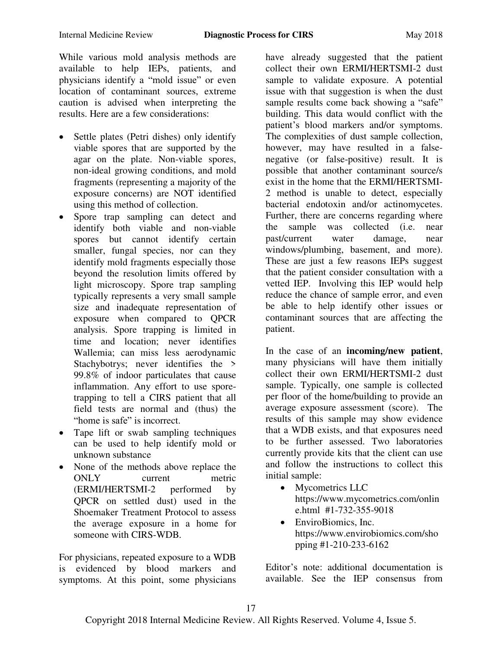While various mold analysis methods are available to help IEPs, patients, and physicians identify a "mold issue" or even location of contaminant sources, extreme caution is advised when interpreting the results. Here are a few considerations:

- Settle plates (Petri dishes) only identify viable spores that are supported by the agar on the plate. Non-viable spores, non-ideal growing conditions, and mold fragments (representing a majority of the exposure concerns) are NOT identified using this method of collection.
- Spore trap sampling can detect and identify both viable and non-viable spores but cannot identify certain smaller, fungal species, nor can they identify mold fragments especially those beyond the resolution limits offered by light microscopy. Spore trap sampling typically represents a very small sample size and inadequate representation of exposure when compared to QPCR analysis. Spore trapping is limited in time and location; never identifies Wallemia; can miss less aerodynamic Stachybotrys; never identifies the > 99.8% of indoor particulates that cause inflammation. Any effort to use sporetrapping to tell a CIRS patient that all field tests are normal and (thus) the "home is safe" is incorrect.
- Tape lift or swab sampling techniques can be used to help identify mold or unknown substance
- None of the methods above replace the<br>ONLY current metric current (ERMI/HERTSMI-2 performed by QPCR on settled dust) used in the Shoemaker Treatment Protocol to assess the average exposure in a home for someone with CIRS-WDB.

For physicians, repeated exposure to a WDB is evidenced by blood markers and symptoms. At this point, some physicians

have already suggested that the patient collect their own ERMI/HERTSMI-2 dust sample to validate exposure. A potential issue with that suggestion is when the dust sample results come back showing a "safe" building. This data would conflict with the patient's blood markers and/or symptoms. The complexities of dust sample collection, however, may have resulted in a falsenegative (or false-positive) result. It is possible that another contaminant source/s exist in the home that the ERMI/HERTSMI-2 method is unable to detect, especially bacterial endotoxin and/or actinomycetes. Further, there are concerns regarding where the sample was collected (i.e. near past/current water damage, near windows/plumbing, basement, and more). These are just a few reasons IEPs suggest that the patient consider consultation with a vetted IEP. Involving this IEP would help reduce the chance of sample error, and even be able to help identify other issues or contaminant sources that are affecting the patient.

In the case of an **incoming/new patient**, many physicians will have them initially collect their own ERMI/HERTSMI-2 dust sample. Typically, one sample is collected per floor of the home/building to provide an average exposure assessment (score). The results of this sample may show evidence that a WDB exists, and that exposures need to be further assessed. Two laboratories currently provide kits that the client can use and follow the instructions to collect this initial sample:

- Mycometrics LLC [https://www.mycometrics.com/onlin](https://www.mycometrics.com/online.html) [e.html](https://www.mycometrics.com/online.html) #1-732-355-9018
- EnviroBiomics, Inc. [https://www.envirobiomics.com/sho](https://www.envirobiomics.com/shopping) [pping](https://www.envirobiomics.com/shopping) #1-210-233-6162

Editor's note: additional documentation is available. See the IEP consensus from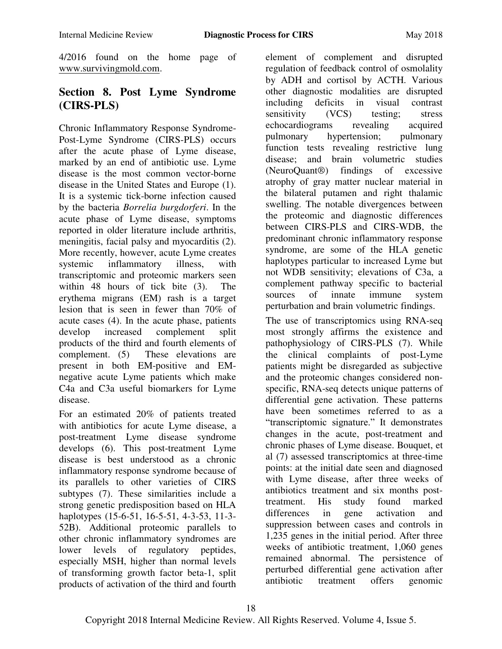4/2016 found on the home page of [www.survivingmold.com.](http://www.survivingmold.com/)

# **Section 8. Post Lyme Syndrome (CIRS-PLS)**

Chronic Inflammatory Response Syndrome-Post-Lyme Syndrome (CIRS-PLS) occurs after the acute phase of Lyme disease, marked by an end of antibiotic use. Lyme disease is the most common vector-borne disease in the United States and Europe (1). It is a systemic tick-borne infection caused by the bacteria *Borrelia burgdorferi*. In the acute phase of Lyme disease, symptoms reported in older literature include arthritis, meningitis, facial palsy and myocarditis (2). More recently, however, acute Lyme creates systemic inflammatory illness, with transcriptomic and proteomic markers seen within 48 hours of tick bite (3). The erythema migrans (EM) rash is a target lesion that is seen in fewer than 70% of acute cases (4). In the acute phase, patients develop increased complement split products of the third and fourth elements of complement. (5) These elevations are present in both EM-positive and EMnegative acute Lyme patients which make C4a and C3a useful biomarkers for Lyme disease.

For an estimated 20% of patients treated with antibiotics for acute Lyme disease, a post-treatment Lyme disease syndrome develops (6). This post-treatment Lyme disease is best understood as a chronic inflammatory response syndrome because of its parallels to other varieties of CIRS subtypes (7). These similarities include a strong genetic predisposition based on HLA haplotypes (15-6-51, 16-5-51, 4-3-53, 11-3- 52B). Additional proteomic parallels to other chronic inflammatory syndromes are lower levels of regulatory peptides, especially MSH, higher than normal levels of transforming growth factor beta-1, split products of activation of the third and fourth

element of complement and disrupted regulation of feedback control of osmolality by ADH and cortisol by ACTH. Various other diagnostic modalities are disrupted including deficits in visual contrast sensitivity (VCS) testing: stress echocardiograms revealing acquired<br>pulmonary hypertension: pulmonary hypertension; pulmonary function tests revealing restrictive lung disease; and brain volumetric studies (NeuroQuant®) findings of excessive atrophy of gray matter nuclear material in the bilateral putamen and right thalamic swelling. The notable divergences between the proteomic and diagnostic differences between CIRS-PLS and CIRS-WDB, the predominant chronic inflammatory response syndrome, are some of the HLA genetic haplotypes particular to increased Lyme but not WDB sensitivity; elevations of C3a, a complement pathway specific to bacterial sources of innate immune system perturbation and brain volumetric findings.

The use of transcriptomics using RNA-seq most strongly affirms the existence and pathophysiology of CIRS-PLS (7). While the clinical complaints of post-Lyme patients might be disregarded as subjective and the proteomic changes considered nonspecific, RNA-seq detects unique patterns of differential gene activation. These patterns have been sometimes referred to as a "transcriptomic signature." It demonstrates changes in the acute, post-treatment and chronic phases of Lyme disease. Bouquet, et al (7) assessed transcriptomics at three-time points: at the initial date seen and diagnosed with Lyme disease, after three weeks of antibiotics treatment and six months posttreatment. His study found marked differences in gene activation and suppression between cases and controls in 1,235 genes in the initial period. After three weeks of antibiotic treatment, 1,060 genes remained abnormal. The persistence of perturbed differential gene activation after antibiotic treatment offers genomic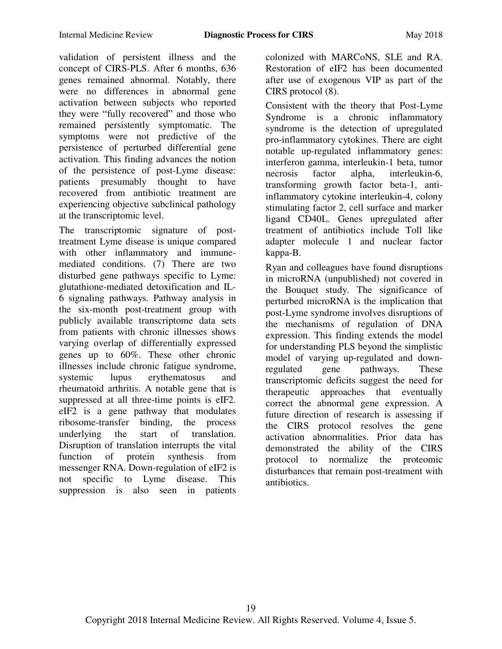validation of persistent illness and the concept of CIRS-PLS. After 6 months, 636 genes remained abnormal. Notably, there were no differences in abnormal gene activation between subjects who reported they were "fully recovered" and those who remained persistently symptomatic. The symptoms were not predictive of the persistence of perturbed differential gene activation. This finding advances the notion of the persistence of post-Lyme disease: patients presumably thought to have recovered from antibiotic treatment are experiencing objective subclinical pathology at the transcriptomic level.

The transcriptomic signature of posttreatment Lyme disease is unique compared with other inflammatory and immunemediated conditions. (7) There are two disturbed gene pathways specific to Lyme: glutathione-mediated detoxification and IL-6 signaling pathways. Pathway analysis in the six-month post-treatment group with publicly available transcriptome data sets from patients with chronic illnesses shows varying overlap of differentially expressed genes up to 60%. These other chronic illnesses include chronic fatigue syndrome, systemic lupus erythematosus and rheumatoid arthritis. A notable gene that is suppressed at all three-time points is eIF2. eIF2 is a gene pathway that modulates ribosome-transfer binding, the process underlying the start of translation. Disruption of translation interrupts the vital function of protein synthesis from messenger RNA. Down-regulation of eIF2 is not specific to Lyme disease. This suppression is also seen in patients

colonized with MARCoNS, SLE and RA. Restoration of eIF2 has been documented after use of exogenous VIP as part of the CIRS protocol (8).

Consistent with the theory that Post-Lyme Syndrome is a chronic inflammatory syndrome is the detection of upregulated pro-inflammatory cytokines. There are eight notable up-regulated inflammatory genes: interferon gamma, interleukin-1 beta, tumor necrosis factor alpha, interleukin-6, transforming growth factor beta-1, antiinflammatory cytokine interleukin-4, colony stimulating factor 2, cell surface and marker ligand CD40L. Genes upregulated after treatment of antibiotics include Toll like adapter molecule 1 and nuclear factor kappa-B.

Ryan and colleagues have found disruptions in microRNA (unpublished) not covered in the Bouquet study. The significance of perturbed microRNA is the implication that post-Lyme syndrome involves disruptions of the mechanisms of regulation of DNA expression. This finding extends the model for understanding PLS beyond the simplistic model of varying up-regulated and downregulated gene pathways. These transcriptomic deficits suggest the need for therapeutic approaches that eventually correct the abnormal gene expression. A future direction of research is assessing if the CIRS protocol resolves the gene activation abnormalities. Prior data has demonstrated the ability of the CIRS protocol to normalize the proteomic disturbances that remain post-treatment with antibiotics.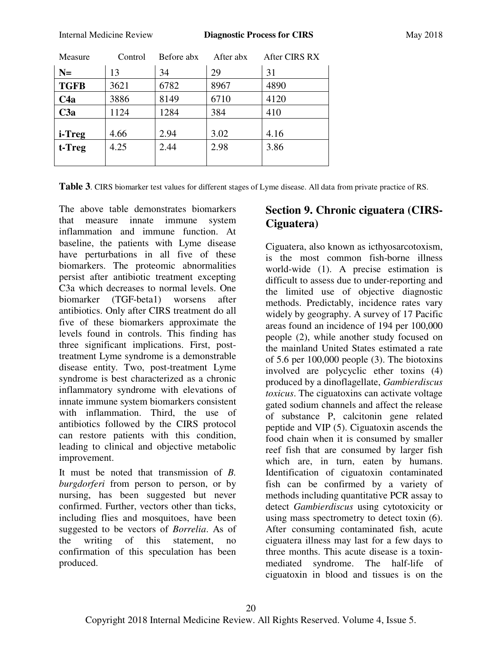| Measure        | Control | Before abx | After abx | After CIRS RX |
|----------------|---------|------------|-----------|---------------|
| $N=$           | 13      | 34         | 29        | 31            |
| <b>TGFB</b>    | 3621    | 6782       | 8967      | 4890          |
| C4a            | 3886    | 8149       | 6710      | 4120          |
| C3a            | 1124    | 1284       | 384       | 410           |
| <i>i</i> -Treg | 4.66    | 2.94       | 3.02      | 4.16          |
| t-Treg         | 4.25    | 2.44       | 2.98      | 3.86          |
|                |         |            |           |               |

**Table 3**. CIRS biomarker test values for different stages of Lyme disease. All data from private practice of RS.

The above table demonstrates biomarkers that measure innate immune system inflammation and immune function. At baseline, the patients with Lyme disease have perturbations in all five of these biomarkers. The proteomic abnormalities persist after antibiotic treatment excepting C3a which decreases to normal levels. One biomarker (TGF-beta1) worsens after antibiotics. Only after CIRS treatment do all five of these biomarkers approximate the levels found in controls. This finding has three significant implications. First, posttreatment Lyme syndrome is a demonstrable disease entity. Two, post-treatment Lyme syndrome is best characterized as a chronic inflammatory syndrome with elevations of innate immune system biomarkers consistent with inflammation. Third, the use of antibiotics followed by the CIRS protocol can restore patients with this condition, leading to clinical and objective metabolic improvement.

It must be noted that transmission of *B. burgdorferi* from person to person, or by nursing, has been suggested but never confirmed. Further, vectors other than ticks, including flies and mosquitoes, have been suggested to be vectors of *Borrelia*. As of the writing of this statement, no confirmation of this speculation has been produced.

# **Section 9. Chronic ciguatera (CIRS-Ciguatera)**

Ciguatera, also known as icthyosarcotoxism, is the most common fish-borne illness world-wide (1). A precise estimation is difficult to assess due to under-reporting and the limited use of objective diagnostic methods. Predictably, incidence rates vary widely by geography. A survey of 17 Pacific areas found an incidence of 194 per 100,000 people (2), while another study focused on the mainland United States estimated a rate of 5.6 per 100,000 people (3). The biotoxins involved are polycyclic ether toxins (4) produced by a dinoflagellate, *Gambierdiscus toxicus*. The ciguatoxins can activate voltage gated sodium channels and affect the release of substance P, calcitonin gene related peptide and VIP (5). Ciguatoxin ascends the food chain when it is consumed by smaller reef fish that are consumed by larger fish which are, in turn, eaten by humans. Identification of ciguatoxin contaminated fish can be confirmed by a variety of methods including quantitative PCR assay to detect *Gambierdiscus* using cytotoxicity or using mass spectrometry to detect toxin (6). After consuming contaminated fish, acute ciguatera illness may last for a few days to three months. This acute disease is a toxinmediated syndrome. The half-life of ciguatoxin in blood and tissues is on the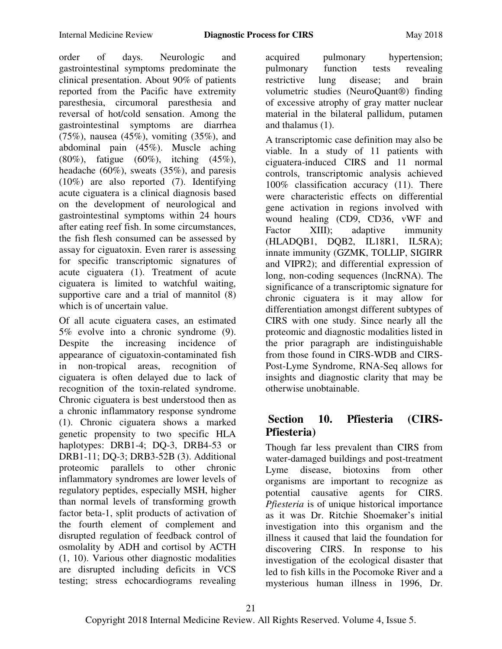order of days. Neurologic and gastrointestinal symptoms predominate the clinical presentation. About 90% of patients reported from the Pacific have extremity paresthesia, circumoral paresthesia and reversal of hot/cold sensation. Among the gastrointestinal symptoms are diarrhea (75%), nausea (45%), vomiting (35%), and abdominal pain (45%). Muscle aching (80%), fatigue (60%), itching (45%), headache (60%), sweats (35%), and paresis (10%) are also reported (7). Identifying acute ciguatera is a clinical diagnosis based on the development of neurological and gastrointestinal symptoms within 24 hours after eating reef fish. In some circumstances, the fish flesh consumed can be assessed by assay for ciguatoxin. Even rarer is assessing for specific transcriptomic signatures of acute ciguatera (1). Treatment of acute ciguatera is limited to watchful waiting, supportive care and a trial of mannitol  $(8)$ which is of uncertain value.

Of all acute ciguatera cases, an estimated 5% evolve into a chronic syndrome (9). Despite the increasing incidence of appearance of ciguatoxin-contaminated fish in non-tropical areas, recognition of ciguatera is often delayed due to lack of recognition of the toxin-related syndrome. Chronic ciguatera is best understood then as a chronic inflammatory response syndrome (1). Chronic ciguatera shows a marked genetic propensity to two specific HLA haplotypes: DRB1-4; DQ-3, DRB4-53 or DRB1-11; DQ-3; DRB3-52B (3). Additional proteomic parallels to other chronic inflammatory syndromes are lower levels of regulatory peptides, especially MSH, higher than normal levels of transforming growth factor beta-1, split products of activation of the fourth element of complement and disrupted regulation of feedback control of osmolality by ADH and cortisol by ACTH (1, 10). Various other diagnostic modalities are disrupted including deficits in VCS testing; stress echocardiograms revealing

acquired pulmonary hypertension; pulmonary function tests revealing restrictive lung disease; and brain volumetric studies (NeuroQuant®) finding of excessive atrophy of gray matter nuclear material in the bilateral pallidum, putamen and thalamus (1).

A transcriptomic case definition may also be viable. In a study of 11 patients with ciguatera-induced CIRS and 11 normal controls, transcriptomic analysis achieved 100% classification accuracy (11). There were characteristic effects on differential gene activation in regions involved with wound healing (CD9, CD36, vWF and Factor XIII); adaptive immunity (HLADQB1, DQB2, IL18R1, IL5RA); innate immunity (GZMK, TOLLIP, SIGIRR and VIPR2); and differential expression of long, non-coding sequences (lncRNA). The significance of a transcriptomic signature for chronic ciguatera is it may allow for differentiation amongst different subtypes of CIRS with one study. Since nearly all the proteomic and diagnostic modalities listed in the prior paragraph are indistinguishable from those found in CIRS-WDB and CIRS-Post-Lyme Syndrome, RNA-Seq allows for insights and diagnostic clarity that may be otherwise unobtainable.

# **Section 10. Pfiesteria (CIRS-Pfiesteria)**

Though far less prevalent than CIRS from water-damaged buildings and post-treatment Lyme disease, biotoxins from other organisms are important to recognize as potential causative agents for CIRS. *Pfiesteria* is of unique historical importance as it was Dr. Ritchie Shoemaker's initial investigation into this organism and the illness it caused that laid the foundation for discovering CIRS. In response to his investigation of the ecological disaster that led to fish kills in the Pocomoke River and a mysterious human illness in 1996, Dr.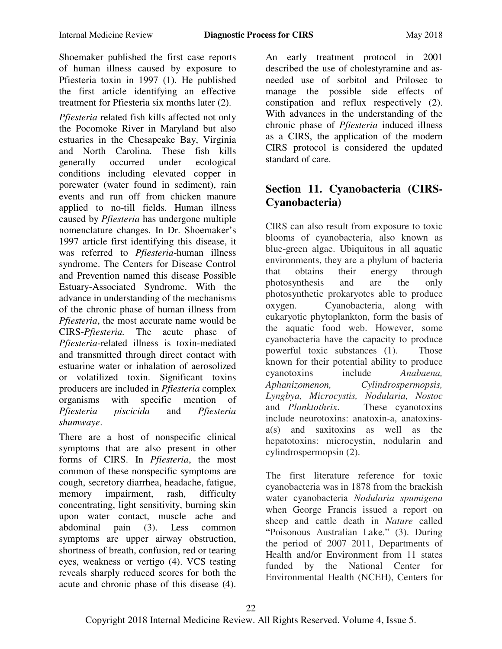Shoemaker published the first case reports of human illness caused by exposure to Pfiesteria toxin in 1997 (1). He published the first article identifying an effective treatment for Pfiesteria six months later (2).

*Pfiesteria* related fish kills affected not only the Pocomoke River in Maryland but also estuaries in the Chesapeake Bay, Virginia and North Carolina. These fish kills generally occurred under ecological conditions including elevated copper in porewater (water found in sediment), rain events and run off from chicken manure applied to no-till fields. Human illness caused by *Pfiesteria* has undergone multiple nomenclature changes. In Dr. Shoemaker's 1997 article first identifying this disease, it was referred to *Pfiesteria*-human illness syndrome. The Centers for Disease Control and Prevention named this disease Possible Estuary-Associated Syndrome. With the advance in understanding of the mechanisms of the chronic phase of human illness from *Pfiesteria*, the most accurate name would be CIRS-*Pfiesteria.* The acute phase of *Pfiesteria-*related illness is toxin-mediated and transmitted through direct contact with estuarine water or inhalation of aerosolized or volatilized toxin. Significant toxins producers are included in *Pfiesteria* complex organisms with specific mention of *Pfiesteria piscicida* and *Pfiesteria shumwaye*.

There are a host of nonspecific clinical symptoms that are also present in other forms of CIRS. In *Pfiesteria*, the most common of these nonspecific symptoms are cough, secretory diarrhea, headache, fatigue, memory impairment, rash, difficulty concentrating, light sensitivity, burning skin upon water contact, muscle ache and abdominal pain (3). Less common symptoms are upper airway obstruction, shortness of breath, confusion, red or tearing eyes, weakness or vertigo (4). VCS testing reveals sharply reduced scores for both the acute and chronic phase of this disease (4).

An early treatment protocol in 2001 described the use of cholestyramine and asneeded use of sorbitol and Prilosec to manage the possible side effects of constipation and reflux respectively (2). With advances in the understanding of the chronic phase of *Pfiesteria* induced illness as a CIRS, the application of the modern CIRS protocol is considered the updated standard of care.

# **Section 11. Cyanobacteria (CIRS-Cyanobacteria)**

CIRS can also result from exposure to toxic blooms of cyanobacteria, also known as blue-green algae. Ubiquitous in all aquatic environments, they are a phylum of bacteria<br>that obtains their energy through that obtains their energy through photosynthesis and are the only photosynthetic prokaryotes able to produce oxygen. Cyanobacteria, along with eukaryotic phytoplankton, form the basis of the aquatic food web. However, some cyanobacteria have the capacity to produce powerful toxic substances (1). Those known for their potential ability to produce cyanotoxins include *Anabaena, Aphanizomenon, Cylindrospermopsis, Lyngbya, Microcystis, Nodularia, Nostoc* and *Planktothrix*. These cyanotoxins include neurotoxins: anatoxin-a, anatoxinsa(s) and saxitoxins as well as the hepatotoxins: microcystin, nodularin and cylindrospermopsin (2).

The first literature reference for toxic cyanobacteria was in 1878 from the brackish water cyanobacteria *Nodularia spumigena*  when George Francis issued a report on sheep and cattle death in *Nature* called "Poisonous Australian Lake." (3). During the period of 2007–2011, Departments of Health and/or Environment from 11 states funded by the National Center for Environmental Health (NCEH), Centers for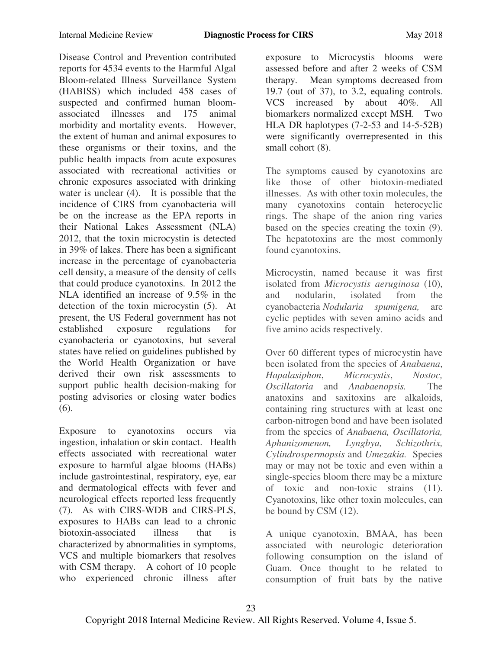Disease Control and Prevention contributed reports for 4534 events to the Harmful Algal Bloom-related Illness Surveillance System (HABISS) which included 458 cases of suspected and confirmed human bloomassociated illnesses and 175 animal morbidity and mortality events. However, the extent of human and animal exposures to these organisms or their toxins, and the public health impacts from acute exposures associated with recreational activities or chronic exposures associated with drinking water is unclear (4). It is possible that the incidence of CIRS from cyanobacteria will be on the increase as the EPA reports in their National Lakes Assessment (NLA) 2012, that the toxin microcystin is detected in 39% of lakes. There has been a significant increase in the percentage of cyanobacteria cell density, a measure of the density of cells that could produce cyanotoxins. In 2012 the NLA identified an increase of 9.5% in the detection of the toxin microcystin (5). At present, the US Federal government has not established exposure regulations for cyanobacteria or cyanotoxins, but several states have relied on guidelines published by the World Health Organization or have derived their own risk assessments to support public health decision-making for posting advisories or closing water bodies (6).

Exposure to cyanotoxins occurs via ingestion, inhalation or skin contact. Health effects associated with recreational water exposure to harmful algae blooms (HABs) include gastrointestinal, respiratory, eye, ear and dermatological effects with fever and neurological effects reported less frequently (7). As with CIRS-WDB and CIRS-PLS, exposures to HABs can lead to a chronic biotoxin-associated illness that is characterized by abnormalities in symptoms, VCS and multiple biomarkers that resolves with CSM therapy. A cohort of 10 people who experienced chronic illness after

exposure to Microcystis blooms were assessed before and after 2 weeks of CSM therapy. Mean symptoms decreased from 19.7 (out of 37), to 3.2, equaling controls. VCS increased by about 40%. All biomarkers normalized except MSH. Two HLA DR haplotypes (7-2-53 and 14-5-52B) were significantly overrepresented in this small cohort  $(8)$ .

The symptoms caused by cyanotoxins are like those of other biotoxin-mediated illnesses. As with other toxin molecules, the many cyanotoxins contain heterocyclic rings. The shape of the anion ring varies based on the species creating the toxin (9). The hepatotoxins are the most commonly found cyanotoxins.

Microcystin, named because it was first isolated from *Microcystis aeruginosa* (10), and nodularin, isolated from the cyanobacteria *Nodularia spumigena,* are cyclic peptides with seven amino acids and five amino acids respectively.

Over 60 different types of microcystin have been isolated from the species of *Anabaena*, *Hapalasiphon*, *Microcystis*, *Nostoc, Oscillatoria* and *Anabaenopsis.* The anatoxins and saxitoxins are alkaloids, containing ring structures with at least one carbon-nitrogen bond and have been isolated from the species of *Anabaena, Oscillatoria, Aphanizomenon, Lyngbya, Schizothrix, Cylindrospermopsis* and *Umezakia.* Species may or may not be toxic and even within a single-species bloom there may be a mixture of toxic and non-toxic strains (11). Cyanotoxins, like other toxin molecules, can be bound by CSM (12).

A unique cyanotoxin, BMAA, has been associated with neurologic deterioration following consumption on the island of Guam. Once thought to be related to consumption of fruit bats by the native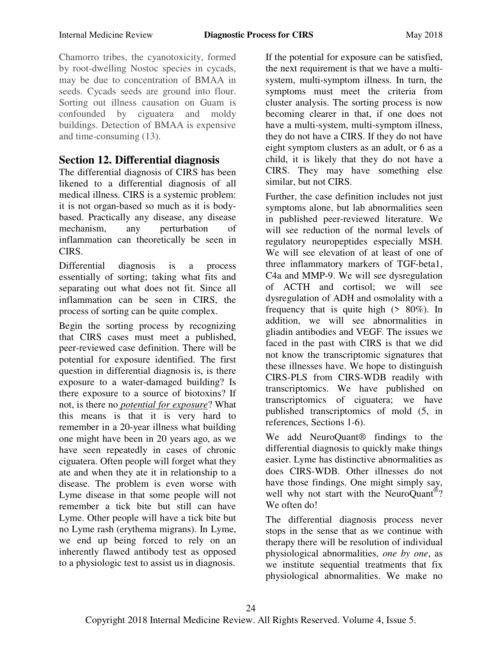Chamorro tribes, the cyanotoxicity, formed by root-dwelling Nostoc species in cycads, may be due to concentration of BMAA in seeds. Cycads seeds are ground into flour. Sorting out illness causation on Guam is confounded by ciguatera and moldy buildings. Detection of BMAA is expensive and time-consuming (13).

### **Section 12. Differential diagnosis**

The differential diagnosis of CIRS has been likened to a differential diagnosis of all medical illness. CIRS is a systemic problem: it is not organ-based so much as it is bodybased. Practically any disease, any disease mechanism, any perturbation of inflammation can theoretically be seen in CIRS.

Differential diagnosis is a process essentially of sorting; taking what fits and separating out what does not fit. Since all inflammation can be seen in CIRS, the process of sorting can be quite complex.

Begin the sorting process by recognizing that CIRS cases must meet a published, peer-reviewed case definition. There will be potential for exposure identified. The first question in differential diagnosis is, is there exposure to a water-damaged building? Is there exposure to a source of biotoxins? If not, is there no *potential for exposure*? What this means is that it is very hard to remember in a 20-year illness what building one might have been in 20 years ago, as we have seen repeatedly in cases of chronic ciguatera. Often people will forget what they ate and when they ate it in relationship to a disease. The problem is even worse with Lyme disease in that some people will not remember a tick bite but still can have Lyme. Other people will have a tick bite but no Lyme rash (erythema migrans). In Lyme, we end up being forced to rely on an inherently flawed antibody test as opposed to a physiologic test to assist us in diagnosis.

If the potential for exposure can be satisfied, the next requirement is that we have a multisystem, multi-symptom illness. In turn, the symptoms must meet the criteria from cluster analysis. The sorting process is now becoming clearer in that, if one does not have a multi-system, multi-symptom illness, they do not have a CIRS. If they do not have eight symptom clusters as an adult, or 6 as a child, it is likely that they do not have a CIRS. They may have something else similar, but not CIRS.

Further, the case definition includes not just symptoms alone, but lab abnormalities seen in published peer-reviewed literature. We will see reduction of the normal levels of regulatory neuropeptides especially MSH. We will see elevation of at least of one of three inflammatory markers of TGF-beta1, C4a and MMP-9. We will see dysregulation of ACTH and cortisol; we will see dysregulation of ADH and osmolality with a frequency that is quite high  $(280\%)$ . In addition, we will see abnormalities in gliadin antibodies and VEGF. The issues we faced in the past with CIRS is that we did not know the transcriptomic signatures that these illnesses have. We hope to distinguish CIRS-PLS from CIRS-WDB readily with transcriptomics. We have published on transcriptomics of ciguatera; we have published transcriptomics of mold (5, in references, Sections 1-6).

We add NeuroQuant® findings to the differential diagnosis to quickly make things easier. Lyme has distinctive abnormalities as does CIRS-WDB. Other illnesses do not have those findings. One might simply say, well why not start with the NeuroQuant<sup>®</sup>? We often do!

The differential diagnosis process never stops in the sense that as we continue with therapy there will be resolution of individual physiological abnormalities, *one by one*, as we institute sequential treatments that fix physiological abnormalities. We make no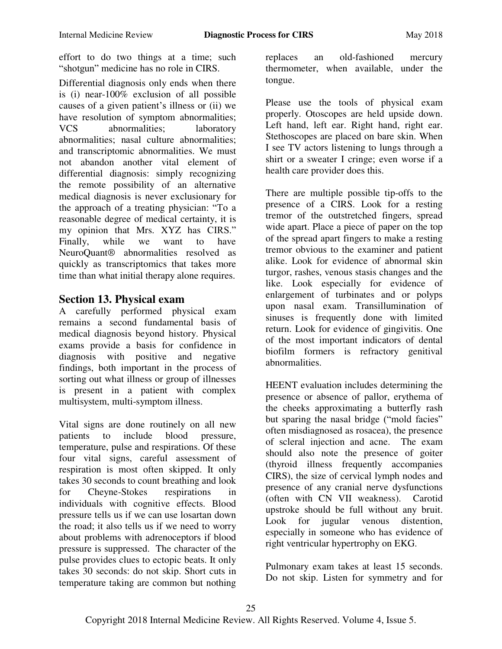effort to do two things at a time; such "shotgun" medicine has no role in CIRS.

Differential diagnosis only ends when there is (i) near-100% exclusion of all possible causes of a given patient's illness or (ii) we have resolution of symptom abnormalities; VCS abnormalities; laboratory abnormalities; nasal culture abnormalities; and transcriptomic abnormalities. We must not abandon another vital element of differential diagnosis: simply recognizing the remote possibility of an alternative medical diagnosis is never exclusionary for the approach of a treating physician: "To a reasonable degree of medical certainty, it is my opinion that Mrs. XYZ has CIRS." Finally, while we want to have NeuroQuant® abnormalities resolved as quickly as transcriptomics that takes more time than what initial therapy alone requires.

### **Section 13. Physical exam**

A carefully performed physical exam remains a second fundamental basis of medical diagnosis beyond history. Physical exams provide a basis for confidence in diagnosis with positive and negative findings, both important in the process of sorting out what illness or group of illnesses is present in a patient with complex multisystem, multi-symptom illness.

Vital signs are done routinely on all new patients to include blood pressure, temperature, pulse and respirations. Of these four vital signs, careful assessment of respiration is most often skipped. It only takes 30 seconds to count breathing and look for Cheyne-Stokes respirations in individuals with cognitive effects. Blood pressure tells us if we can use losartan down the road; it also tells us if we need to worry about problems with adrenoceptors if blood pressure is suppressed. The character of the pulse provides clues to ectopic beats. It only takes 30 seconds: do not skip. Short cuts in temperature taking are common but nothing

replaces an old-fashioned mercury thermometer, when available, under the tongue.

Please use the tools of physical exam properly. Otoscopes are held upside down. Left hand, left ear. Right hand, right ear. Stethoscopes are placed on bare skin. When I see TV actors listening to lungs through a shirt or a sweater I cringe; even worse if a health care provider does this.

There are multiple possible tip-offs to the presence of a CIRS. Look for a resting tremor of the outstretched fingers, spread wide apart. Place a piece of paper on the top of the spread apart fingers to make a resting tremor obvious to the examiner and patient alike. Look for evidence of abnormal skin turgor, rashes, venous stasis changes and the like. Look especially for evidence of enlargement of turbinates and or polyps upon nasal exam. Transillumination of sinuses is frequently done with limited return. Look for evidence of gingivitis. One of the most important indicators of dental biofilm formers is refractory genitival abnormalities.

HEENT evaluation includes determining the presence or absence of pallor, erythema of the cheeks approximating a butterfly rash but sparing the nasal bridge ("mold facies" often misdiagnosed as rosacea), the presence of scleral injection and acne. The exam should also note the presence of goiter (thyroid illness frequently accompanies CIRS), the size of cervical lymph nodes and presence of any cranial nerve dysfunctions (often with CN VII weakness). Carotid upstroke should be full without any bruit. Look for jugular venous distention. especially in someone who has evidence of right ventricular hypertrophy on EKG.

Pulmonary exam takes at least 15 seconds. Do not skip. Listen for symmetry and for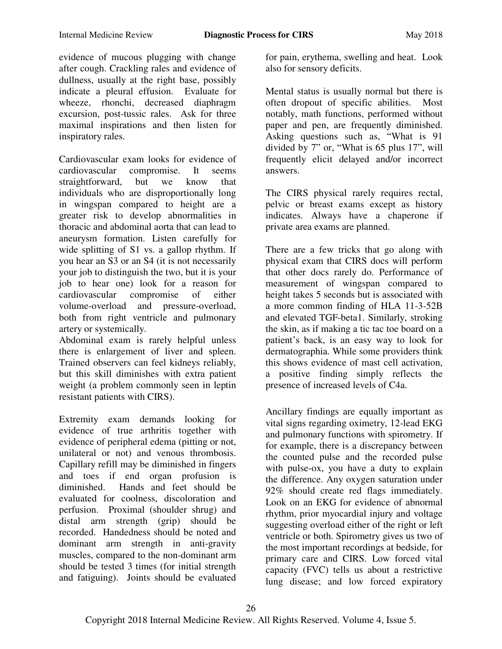evidence of mucous plugging with change after cough. Crackling rales and evidence of dullness, usually at the right base, possibly indicate a pleural effusion. Evaluate for wheeze, rhonchi, decreased diaphragm excursion, post-tussic rales. Ask for three maximal inspirations and then listen for inspiratory rales.

Cardiovascular exam looks for evidence of cardiovascular compromise. It seems straightforward, but we know that individuals who are disproportionally long in wingspan compared to height are a greater risk to develop abnormalities in thoracic and abdominal aorta that can lead to aneurysm formation. Listen carefully for wide splitting of S1 vs. a gallop rhythm. If you hear an S3 or an S4 (it is not necessarily your job to distinguish the two, but it is your job to hear one) look for a reason for cardiovascular compromise of either volume-overload and pressure-overload, both from right ventricle and pulmonary artery or systemically.

Abdominal exam is rarely helpful unless there is enlargement of liver and spleen. Trained observers can feel kidneys reliably, but this skill diminishes with extra patient weight (a problem commonly seen in leptin resistant patients with CIRS).

Extremity exam demands looking for evidence of true arthritis together with evidence of peripheral edema (pitting or not, unilateral or not) and venous thrombosis. Capillary refill may be diminished in fingers and toes if end organ profusion is diminished. Hands and feet should be evaluated for coolness, discoloration and perfusion. Proximal (shoulder shrug) and distal arm strength (grip) should be recorded. Handedness should be noted and dominant arm strength in anti-gravity muscles, compared to the non-dominant arm should be tested 3 times (for initial strength and fatiguing). Joints should be evaluated for pain, erythema, swelling and heat. Look also for sensory deficits.

Mental status is usually normal but there is often dropout of specific abilities. Most notably, math functions, performed without paper and pen, are frequently diminished. Asking questions such as, "What is 91 divided by 7" or, "What is 65 plus 17", will frequently elicit delayed and/or incorrect answers.

The CIRS physical rarely requires rectal, pelvic or breast exams except as history indicates. Always have a chaperone if private area exams are planned.

There are a few tricks that go along with physical exam that CIRS docs will perform that other docs rarely do. Performance of measurement of wingspan compared to height takes 5 seconds but is associated with a more common finding of HLA 11-3-52B and elevated TGF-beta1. Similarly, stroking the skin, as if making a tic tac toe board on a patient's back, is an easy way to look for dermatographia. While some providers think this shows evidence of mast cell activation, a positive finding simply reflects the presence of increased levels of C4a.

Ancillary findings are equally important as vital signs regarding oximetry, 12-lead EKG and pulmonary functions with spirometry. If for example, there is a discrepancy between the counted pulse and the recorded pulse with pulse-ox, you have a duty to explain the difference. Any oxygen saturation under 92% should create red flags immediately. Look on an EKG for evidence of abnormal rhythm, prior myocardial injury and voltage suggesting overload either of the right or left ventricle or both. Spirometry gives us two of the most important recordings at bedside, for primary care and CIRS. Low forced vital capacity (FVC) tells us about a restrictive lung disease; and low forced expiratory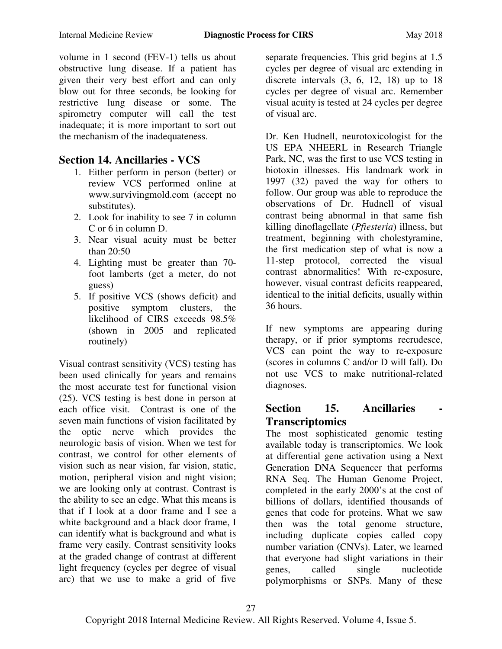volume in 1 second (FEV-1) tells us about obstructive lung disease. If a patient has given their very best effort and can only blow out for three seconds, be looking for restrictive lung disease or some. The spirometry computer will call the test inadequate; it is more important to sort out the mechanism of the inadequateness.

### **Section 14. Ancillaries - VCS**

- 1. Either perform in person (better) or review VCS performed online at [www.survivingmold.com](http://www.survivingmold.com/) (accept no substitutes).
- 2. Look for inability to see 7 in column C or 6 in column D.
- 3. Near visual acuity must be better than 20:50
- 4. Lighting must be greater than 70 foot lamberts (get a meter, do not guess)
- 5. If positive VCS (shows deficit) and positive symptom clusters, the likelihood of CIRS exceeds 98.5% (shown in 2005 and replicated routinely)

Visual contrast sensitivity (VCS) testing has been used clinically for years and remains the most accurate test for functional vision (25). VCS testing is best done in person at each office visit. Contrast is one of the seven main functions of vision facilitated by the optic nerve which provides the neurologic basis of vision. When we test for contrast, we control for other elements of vision such as near vision, far vision, static, motion, peripheral vision and night vision; we are looking only at contrast. Contrast is the ability to see an edge. What this means is that if I look at a door frame and I see a white background and a black door frame, I can identify what is background and what is frame very easily. Contrast sensitivity looks at the graded change of contrast at different light frequency (cycles per degree of visual arc) that we use to make a grid of five

separate frequencies. This grid begins at 1.5 cycles per degree of visual arc extending in discrete intervals  $(3, 6, 12, 18)$  up to 18 cycles per degree of visual arc. Remember visual acuity is tested at 24 cycles per degree of visual arc.

Dr. Ken Hudnell, neurotoxicologist for the US EPA NHEERL in Research Triangle Park, NC, was the first to use VCS testing in biotoxin illnesses. His landmark work in 1997 (32) paved the way for others to follow. Our group was able to reproduce the observations of Dr. Hudnell of visual contrast being abnormal in that same fish killing dinoflagellate (*Pfiesteria*) illness, but treatment, beginning with cholestyramine, the first medication step of what is now a 11-step protocol, corrected the visual contrast abnormalities! With re-exposure, however, visual contrast deficits reappeared, identical to the initial deficits, usually within 36 hours.

If new symptoms are appearing during therapy, or if prior symptoms recrudesce, VCS can point the way to re-exposure (scores in columns C and/or D will fall). Do not use VCS to make nutritional-related diagnoses.

# **Section 15. Ancillaries Transcriptomics**

The most sophisticated genomic testing available today is transcriptomics. We look at differential gene activation using a Next Generation DNA Sequencer that performs RNA Seq. The Human Genome Project, completed in the early 2000's at the cost of billions of dollars, identified thousands of genes that code for proteins. What we saw then was the total genome structure, including duplicate copies called copy number variation (CNVs). Later, we learned that everyone had slight variations in their genes, called single nucleotide polymorphisms or SNPs. Many of these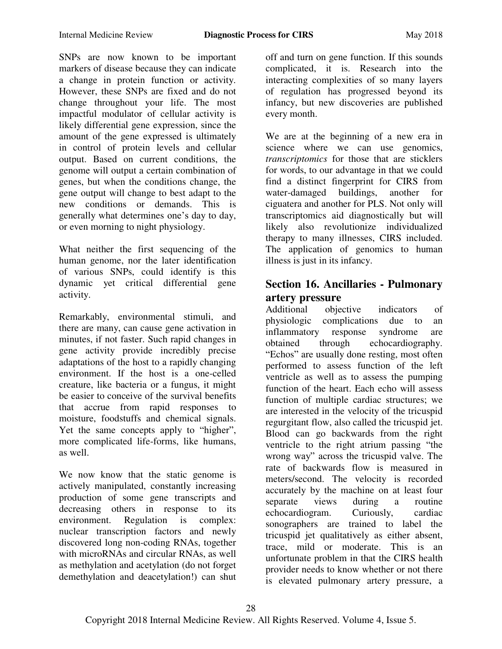SNPs are now known to be important markers of disease because they can indicate a change in protein function or activity. However, these SNPs are fixed and do not change throughout your life. The most impactful modulator of cellular activity is likely differential gene expression, since the amount of the gene expressed is ultimately in control of protein levels and cellular output. Based on current conditions, the genome will output a certain combination of genes, but when the conditions change, the gene output will change to best adapt to the new conditions or demands. This is generally what determines one's day to day, or even morning to night physiology.

What neither the first sequencing of the human genome, nor the later identification of various SNPs, could identify is this dynamic yet critical differential gene activity.

Remarkably, environmental stimuli, and there are many, can cause gene activation in minutes, if not faster. Such rapid changes in gene activity provide incredibly precise adaptations of the host to a rapidly changing environment. If the host is a one-celled creature, like bacteria or a fungus, it might be easier to conceive of the survival benefits that accrue from rapid responses to moisture, foodstuffs and chemical signals. Yet the same concepts apply to "higher", more complicated life-forms, like humans, as well.

We now know that the static genome is actively manipulated, constantly increasing production of some gene transcripts and decreasing others in response to its environment. Regulation is complex: nuclear transcription factors and newly discovered long non-coding RNAs, together with microRNAs and circular RNAs, as well as methylation and acetylation (do not forget demethylation and deacetylation!) can shut off and turn on gene function. If this sounds complicated, it is. Research into the interacting complexities of so many layers of regulation has progressed beyond its infancy, but new discoveries are published every month.

We are at the beginning of a new era in science where we can use genomics, *transcriptomics* for those that are sticklers for words, to our advantage in that we could find a distinct fingerprint for CIRS from water-damaged buildings, another for ciguatera and another for PLS. Not only will transcriptomics aid diagnostically but will likely also revolutionize individualized therapy to many illnesses, CIRS included. The application of genomics to human illness is just in its infancy.

# **Section 16. Ancillaries - Pulmonary artery pressure**<br>Additional object

objective indicators of physiologic complications due to an inflammatory response syndrome are obtained through echocardiography. "Echos" are usually done resting, most often performed to assess function of the left ventricle as well as to assess the pumping function of the heart. Each echo will assess function of multiple cardiac structures; we are interested in the velocity of the tricuspid regurgitant flow, also called the tricuspid jet. Blood can go backwards from the right ventricle to the right atrium passing "the wrong way" across the tricuspid valve. The rate of backwards flow is measured in meters/second. The velocity is recorded accurately by the machine on at least four separate views during a routine echocardiogram. Curiously, cardiac sonographers are trained to label the tricuspid jet qualitatively as either absent, trace, mild or moderate. This is an unfortunate problem in that the CIRS health provider needs to know whether or not there is elevated pulmonary artery pressure, a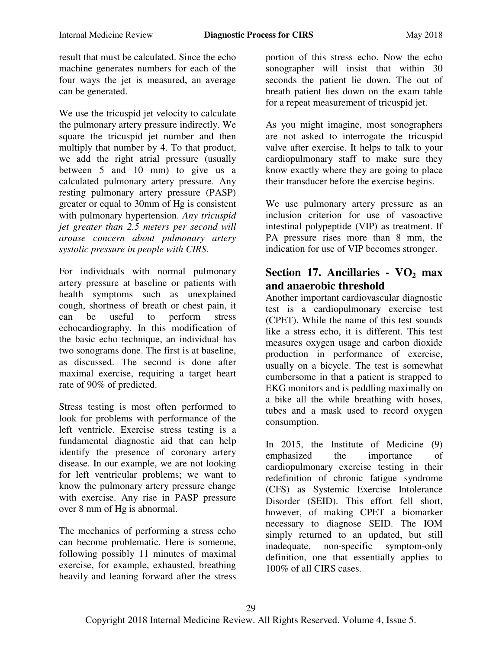result that must be calculated. Since the echo machine generates numbers for each of the four ways the jet is measured, an average can be generated.

We use the tricuspid jet velocity to calculate the pulmonary artery pressure indirectly. We square the tricuspid jet number and then multiply that number by 4. To that product, we add the right atrial pressure (usually between 5 and 10 mm) to give us a calculated pulmonary artery pressure. Any resting pulmonary artery pressure (PASP) greater or equal to 30mm of Hg is consistent with pulmonary hypertension. *Any tricuspid jet greater than 2.5 meters per second will arouse concern about pulmonary artery systolic pressure in people with CIRS.* 

For individuals with normal pulmonary artery pressure at baseline or patients with health symptoms such as unexplained cough, shortness of breath or chest pain, it can be useful to perform stress echocardiography. In this modification of the basic echo technique, an individual has two sonograms done. The first is at baseline, as discussed. The second is done after maximal exercise, requiring a target heart rate of 90% of predicted.

Stress testing is most often performed to look for problems with performance of the left ventricle. Exercise stress testing is a fundamental diagnostic aid that can help identify the presence of coronary artery disease. In our example, we are not looking for left ventricular problems; we want to know the pulmonary artery pressure change with exercise. Any rise in PASP pressure over 8 mm of Hg is abnormal.

The mechanics of performing a stress echo can become problematic. Here is someone, following possibly 11 minutes of maximal exercise, for example, exhausted, breathing heavily and leaning forward after the stress

portion of this stress echo. Now the echo sonographer will insist that within 30 seconds the patient lie down. The out of breath patient lies down on the exam table for a repeat measurement of tricuspid jet.

As you might imagine, most sonographers are not asked to interrogate the tricuspid valve after exercise. It helps to talk to your cardiopulmonary staff to make sure they know exactly where they are going to place their transducer before the exercise begins.

We use pulmonary artery pressure as an inclusion criterion for use of vasoactive intestinal polypeptide (VIP) as treatment. If PA pressure rises more than 8 mm, the indication for use of VIP becomes stronger.

# **Section 17. Ancillaries - VO2 max and anaerobic threshold**

Another important cardiovascular diagnostic test is a cardiopulmonary exercise test (CPET). While the name of this test sounds like a stress echo, it is different. This test measures oxygen usage and carbon dioxide production in performance of exercise, usually on a bicycle. The test is somewhat cumbersome in that a patient is strapped to EKG monitors and is peddling maximally on a bike all the while breathing with hoses, tubes and a mask used to record oxygen consumption.

In 2015, the Institute of Medicine (9) emphasized the importance of cardiopulmonary exercise testing in their redefinition of chronic fatigue syndrome (CFS) as Systemic Exercise Intolerance Disorder (SEID). This effort fell short, however, of making CPET a biomarker necessary to diagnose SEID. The IOM simply returned to an updated, but still inadequate, non-specific symptom-only definition, one that essentially applies to 100% of all CIRS cases.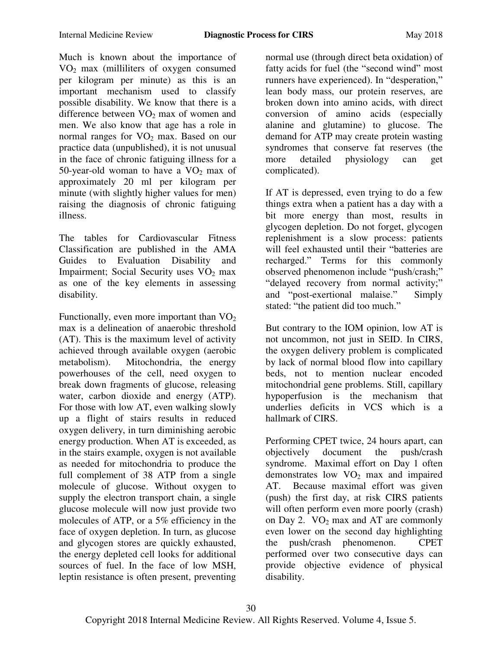Much is known about the importance of VO<sup>2</sup> max (milliliters of oxygen consumed per kilogram per minute) as this is an important mechanism used to classify possible disability. We know that there is a difference between  $VO<sub>2</sub>$  max of women and men. We also know that age has a role in normal ranges for  $VO_2$  max. Based on our practice data (unpublished), it is not unusual in the face of chronic fatiguing illness for a 50-year-old woman to have a  $VO<sub>2</sub>$  max of approximately 20 ml per kilogram per minute (with slightly higher values for men) raising the diagnosis of chronic fatiguing illness.

The tables for Cardiovascular Fitness Classification are published in the AMA Guides to Evaluation Disability and Impairment; Social Security uses  $VO<sub>2</sub>$  max as one of the key elements in assessing disability.

Functionally, even more important than  $VO<sub>2</sub>$ max is a delineation of anaerobic threshold (AT). This is the maximum level of activity achieved through available oxygen (aerobic metabolism). Mitochondria, the energy powerhouses of the cell, need oxygen to break down fragments of glucose, releasing water, carbon dioxide and energy (ATP). For those with low AT, even walking slowly up a flight of stairs results in reduced oxygen delivery, in turn diminishing aerobic energy production. When AT is exceeded, as in the stairs example, oxygen is not available as needed for mitochondria to produce the full complement of 38 ATP from a single molecule of glucose. Without oxygen to supply the electron transport chain, a single glucose molecule will now just provide two molecules of ATP, or a 5% efficiency in the face of oxygen depletion. In turn, as glucose and glycogen stores are quickly exhausted, the energy depleted cell looks for additional sources of fuel. In the face of low MSH, leptin resistance is often present, preventing

normal use (through direct beta oxidation) of fatty acids for fuel (the "second wind" most runners have experienced). In "desperation," lean body mass, our protein reserves, are broken down into amino acids, with direct conversion of amino acids (especially alanine and glutamine) to glucose. The demand for ATP may create protein wasting syndromes that conserve fat reserves (the more detailed physiology can get complicated).

If AT is depressed, even trying to do a few things extra when a patient has a day with a bit more energy than most, results in glycogen depletion. Do not forget, glycogen replenishment is a slow process: patients will feel exhausted until their "batteries are recharged." Terms for this commonly observed phenomenon include "push/crash;" "delayed recovery from normal activity;" and "post-exertional malaise." Simply stated: "the patient did too much."

But contrary to the IOM opinion, low AT is not uncommon, not just in SEID. In CIRS, the oxygen delivery problem is complicated by lack of normal blood flow into capillary beds, not to mention nuclear encoded mitochondrial gene problems. Still, capillary hypoperfusion is the mechanism that underlies deficits in VCS which is a hallmark of CIRS.

Performing CPET twice, 24 hours apart, can objectively document the push/crash syndrome. Maximal effort on Day 1 often demonstrates low  $VO<sub>2</sub>$  max and impaired AT. Because maximal effort was given (push) the first day, at risk CIRS patients will often perform even more poorly (crash) on Day 2.  $VO<sub>2</sub>$  max and AT are commonly even lower on the second day highlighting the push/crash phenomenon. CPET performed over two consecutive days can provide objective evidence of physical disability.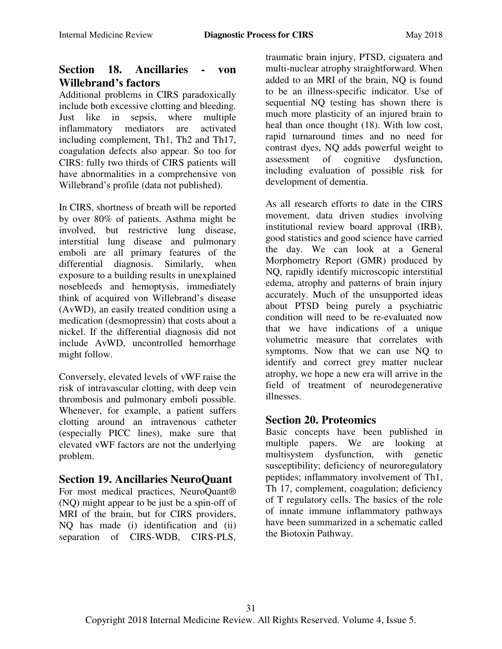# **Section 18. Ancillaries - von Willebrand's factors**

Additional problems in CIRS paradoxically include both excessive clotting and bleeding. Just like in sepsis, where multiple inflammatory mediators are activated including complement, Th1, Th2 and Th17, coagulation defects also appear. So too for CIRS: fully two thirds of CIRS patients will have abnormalities in a comprehensive von Willebrand's profile (data not published).

In CIRS, shortness of breath will be reported by over 80% of patients. Asthma might be involved, but restrictive lung disease, interstitial lung disease and pulmonary emboli are all primary features of the differential diagnosis. Similarly, when exposure to a building results in unexplained nosebleeds and hemoptysis, immediately think of acquired von Willebrand's disease (AvWD), an easily treated condition using a medication (desmopressin) that costs about a nickel. If the differential diagnosis did not include AvWD, uncontrolled hemorrhage might follow.

Conversely, elevated levels of vWF raise the risk of intravascular clotting, with deep vein thrombosis and pulmonary emboli possible. Whenever, for example, a patient suffers clotting around an intravenous catheter (especially PICC lines), make sure that elevated vWF factors are not the underlying problem.

# **Section 19. Ancillaries NeuroQuant**

For most medical practices, NeuroQuant® (NQ) might appear to be just be a spin-off of MRI of the brain, but for CIRS providers, NQ has made (i) identification and (ii) separation of CIRS-WDB, CIRS-PLS,

traumatic brain injury, PTSD, ciguatera and multi-nuclear atrophy straightforward. When added to an MRI of the brain, NQ is found to be an illness-specific indicator. Use of sequential NQ testing has shown there is much more plasticity of an injured brain to heal than once thought (18). With low cost, rapid turnaround times and no need for contrast dyes, NQ adds powerful weight to assessment of cognitive dysfunction, including evaluation of possible risk for development of dementia.

As all research efforts to date in the CIRS movement, data driven studies involving institutional review board approval (IRB), good statistics and good science have carried the day. We can look at a General Morphometry Report (GMR) produced by NQ, rapidly identify microscopic interstitial edema, atrophy and patterns of brain injury accurately. Much of the unsupported ideas about PTSD being purely a psychiatric condition will need to be re-evaluated now that we have indications of a unique volumetric measure that correlates with symptoms. Now that we can use NQ to identify and correct grey matter nuclear atrophy, we hope a new era will arrive in the field of treatment of neurodegenerative illnesses.

# **Section 20. Proteomics**

Basic concepts have been published in multiple papers. We are looking at multisystem dysfunction, with genetic susceptibility; deficiency of neuroregulatory peptides; inflammatory involvement of Th1, Th 17, complement, coagulation; deficiency of T regulatory cells. The basics of the role of innate immune inflammatory pathways have been summarized in a schematic called the Biotoxin Pathway.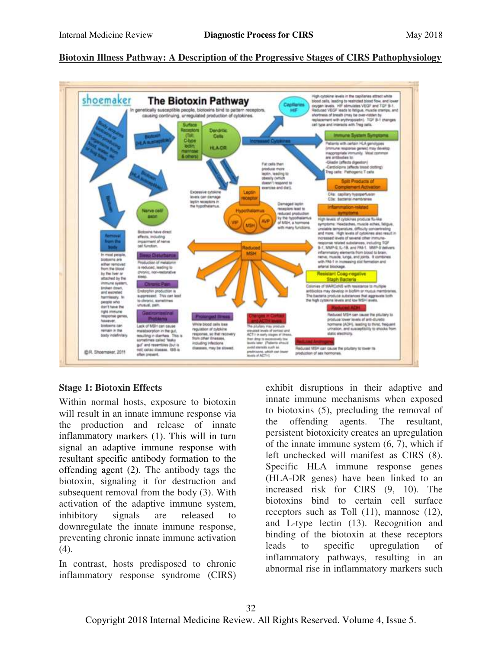#### **Biotoxin Illness Pathway: A Description of the Progressive Stages of CIRS Pathophysiology**



#### **Stage 1: Biotoxin Effects**

Within normal hosts, exposure to biotoxin will result in an innate immune response via the production and release of innate inflammatory markers (1). This will in turn signal an adaptive immune response with resultant specific antibody formation to the offending agent (2). The antibody tags the biotoxin, signaling it for destruction and subsequent removal from the body (3). With activation of the adaptive immune system, inhibitory signals are released to downregulate the innate immune response, preventing chronic innate immune activation (4).

In contrast, hosts predisposed to chronic inflammatory response syndrome (CIRS) exhibit disruptions in their adaptive and innate immune mechanisms when exposed to biotoxins (5), precluding the removal of the offending agents. The resultant, persistent biotoxicity creates an upregulation of the innate immune system (6, 7), which if left unchecked will manifest as CIRS (8). Specific HLA immune response genes (HLA-DR genes) have been linked to an increased risk for CIRS (9, 10). The biotoxins bind to certain cell surface receptors such as Toll (11), mannose (12), and L-type lectin (13). Recognition and binding of the biotoxin at these receptors leads to specific upregulation of inflammatory pathways, resulting in an abnormal rise in inflammatory markers such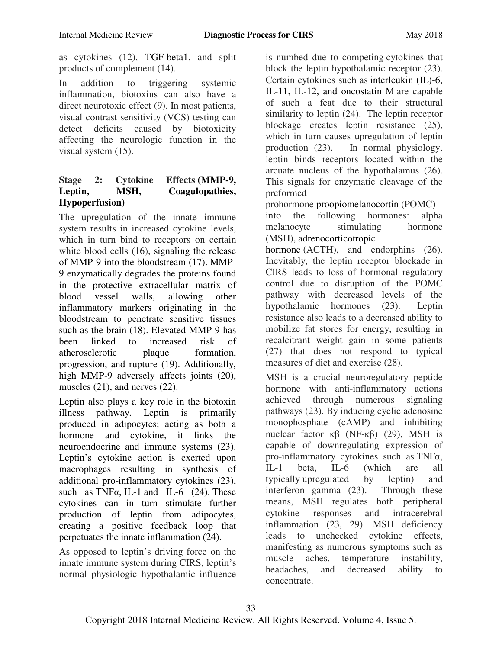as cytokines (12), TGF-beta1, and split products of complement (14).

In addition to triggering systemic inflammation, biotoxins can also have a direct neurotoxic effect (9). In most patients, visual contrast sensitivity (VCS) testing can detect deficits caused by biotoxicity affecting the neurologic function in the visual system (15).

#### **Stage 2: Cytokine Effects (MMP-9, Leptin, MSH, Coagulopathies, Hypoperfusion)**

The upregulation of the innate immune system results in increased cytokine levels, which in turn bind to receptors on certain white blood cells (16), signaling the release of MMP-9 into the bloodstream (17). MMP-9 enzymatically degrades the proteins found in the protective extracellular matrix of blood vessel walls, allowing other inflammatory markers originating in the bloodstream to penetrate sensitive tissues such as the brain (18). Elevated MMP-9 has been linked to increased risk of atherosclerotic plaque formation, progression, and rupture (19). Additionally, high MMP-9 adversely affects joints (20), muscles (21), and nerves (22).

Leptin also plays a key role in the biotoxin illness pathway. Leptin is primarily produced in adipocytes; acting as both a hormone and cytokine, it links the neuroendocrine and immune systems (23). Leptin's cytokine action is exerted upon macrophages resulting in synthesis of additional pro-inflammatory cytokines (23), such as TNF $\alpha$ , IL-1 and IL-6 (24). These cytokines can in turn stimulate further production of leptin from adipocytes, creating a positive feedback loop that perpetuates the innate inflammation (24).

As opposed to leptin's driving force on the innate immune system during CIRS, leptin's normal physiologic hypothalamic influence

is numbed due to competing cytokines that block the leptin hypothalamic receptor (23). Certain cytokines such as interleukin (IL)-6, IL-11, IL-12, and oncostatin M are capable of such a feat due to their structural similarity to leptin (24). The leptin receptor blockage creates leptin resistance (25), which in turn causes upregulation of leptin production (23). In normal physiology, leptin binds receptors located within the arcuate nucleus of the hypothalamus (26). This signals for enzymatic cleavage of the preformed

prohormone proopiomelanocortin (POMC)

into the following hormones: alpha melanocyte stimulating hormone (MSH), adrenocorticotropic

hormone (ACTH), and endorphins (26). Inevitably, the leptin receptor blockade in CIRS leads to loss of hormonal regulatory control due to disruption of the POMC pathway with decreased levels of the hypothalamic hormones (23). Leptin resistance also leads to a decreased ability to mobilize fat stores for energy, resulting in recalcitrant weight gain in some patients (27) that does not respond to typical measures of diet and exercise (28).

MSH is a crucial neuroregulatory peptide hormone with anti-inflammatory actions achieved through numerous signaling pathways (23). By inducing cyclic adenosine monophosphate (cAMP) and inhibiting nuclear factor  $\kappa\beta$  (NF-κβ) (29), MSH is capable of downregulating expression of pro-inflammatory cytokines such as TNFα, IL-1 beta, IL-6 (which are all typically upregulated by leptin) and interferon gamma (23). Through these means, MSH regulates both peripheral cytokine responses and intracerebral inflammation (23, 29). MSH deficiency leads to unchecked cytokine effects, manifesting as numerous symptoms such as muscle aches, temperature instability, headaches, and decreased ability to concentrate.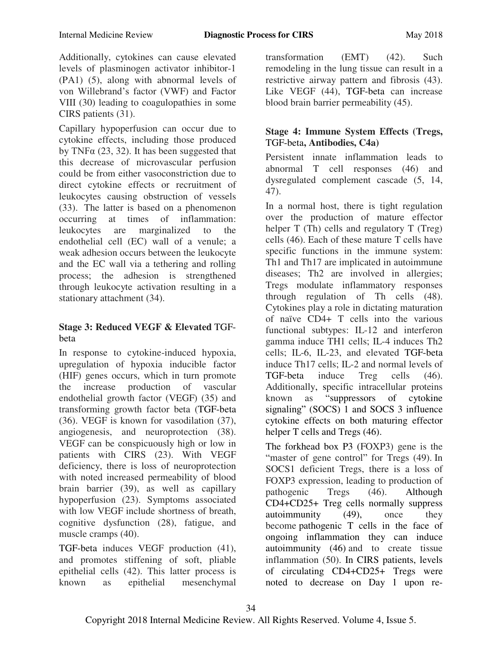Additionally, cytokines can cause elevated levels of plasminogen activator inhibitor-1 (PA1) (5), along with abnormal levels of von Willebrand's factor (VWF) and Factor VIII (30) leading to coagulopathies in some CIRS patients (31).

Capillary hypoperfusion can occur due to cytokine effects, including those produced by TNF $\alpha$  (23, 32). It has been suggested that this decrease of microvascular perfusion could be from either vasoconstriction due to direct cytokine effects or recruitment of leukocytes causing obstruction of vessels (33). The latter is based on a phenomenon occurring at times of inflammation: leukocytes are marginalized to the endothelial cell (EC) wall of a venule; a weak adhesion occurs between the leukocyte and the EC wall via a tethering and rolling process; the adhesion is strengthened through leukocyte activation resulting in a stationary attachment (34).

#### **Stage 3: Reduced VEGF & Elevated** TGFbeta

In response to cytokine-induced hypoxia, upregulation of hypoxia inducible factor (HIF) genes occurs, which in turn promote the increase production of vascular endothelial growth factor (VEGF) (35) and transforming growth factor beta (TGF-beta (36). VEGF is known for vasodilation (37), angiogenesis, and neuroprotection (38). VEGF can be conspicuously high or low in patients with CIRS (23). With VEGF deficiency, there is loss of neuroprotection with noted increased permeability of blood brain barrier (39), as well as capillary hypoperfusion (23). Symptoms associated with low VEGF include shortness of breath, cognitive dysfunction (28), fatigue, and muscle cramps (40).

TGF-beta induces VEGF production (41), and promotes stiffening of soft, pliable epithelial cells (42). This latter process is known as epithelial mesenchymal

transformation (EMT) (42). Such remodeling in the lung tissue can result in a restrictive airway pattern and fibrosis (43). Like VEGF (44), TGF-beta can increase blood brain barrier permeability (45).

#### **Stage 4: Immune System Effects (Tregs,**  TGF-beta**, Antibodies, C4a)**

Persistent innate inflammation leads to abnormal T cell responses (46) and dysregulated complement cascade (5, 14, 47).

In a normal host, there is tight regulation over the production of mature effector helper T (Th) cells and regulatory T (Treg) cells (46). Each of these mature T cells have specific functions in the immune system: Th1 and Th17 are implicated in autoimmune diseases; Th<sub>2</sub> are involved in allergies; Tregs modulate inflammatory responses through regulation of Th cells (48). Cytokines play a role in dictating maturation of naïve CD4+ T cells into the various functional subtypes: IL-12 and interferon gamma induce TH1 cells; IL-4 induces Th2 cells; IL-6, IL-23, and elevated TGF-beta induce Th17 cells; IL-2 and normal levels of TGF-beta induce Treg cells (46). Additionally, specific intracellular proteins<br>known as "suppressors of cytokine known as "suppressors of cytokine signaling" (SOCS) 1 and SOCS 3 influence cytokine effects on both maturing effector helper T cells and Tregs (46).

The forkhead box P3 (FOXP3) gene is the "master of gene control" for Tregs (49). In SOCS1 deficient Tregs, there is a loss of FOXP3 expression, leading to production of pathogenic Tregs (46). Although CD4+CD25+ Treg cells normally suppress autoimmunity (49), once they become pathogenic T cells in the face of ongoing inflammation they can induce autoimmunity (46) and to create tissue inflammation (50). In CIRS patients, levels of circulating CD4+CD25+ Tregs were noted to decrease on Day 1 upon re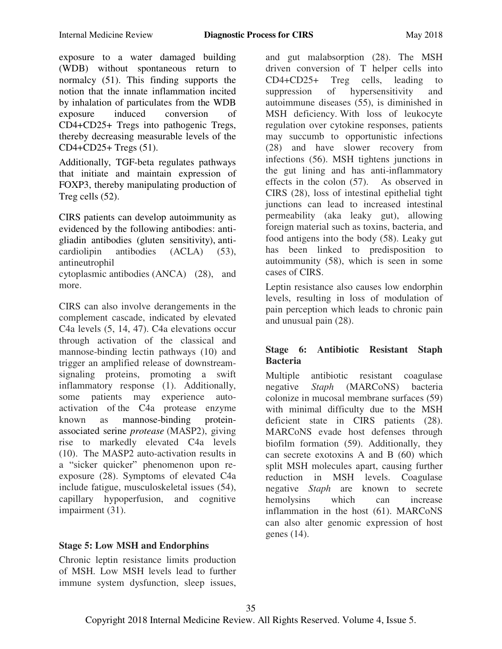exposure to a water damaged building (WDB) without spontaneous return to normalcy (51). This finding supports the notion that the innate inflammation incited by inhalation of particulates from the WDB exposure induced conversion of CD4+CD25+ Tregs into pathogenic Tregs, thereby decreasing measurable levels of the CD4+CD25+ Tregs (51).

Additionally, TGF-beta regulates pathways that initiate and maintain expression of FOXP3, thereby manipulating production of Treg cells (52).

CIRS patients can develop autoimmunity as evidenced by the following antibodies: antigliadin antibodies (gluten sensitivity), anticardiolipin antibodies (ACLA) (53), antineutrophil

cytoplasmic antibodies (ANCA) (28), and more.

CIRS can also involve derangements in the complement cascade, indicated by elevated C4a levels (5, 14, 47). C4a elevations occur through activation of the classical and mannose-binding lectin pathways (10) and trigger an amplified release of downstreamsignaling proteins, promoting a swift inflammatory response (1). Additionally, some patients may experience autoactivation of the C4a protease enzyme known as mannose-binding proteinassociated serine *protease* (MASP2), giving rise to markedly elevated C4a levels (10). The MASP2 auto-activation results in a "sicker quicker" phenomenon upon reexposure (28). Symptoms of elevated C4a include fatigue, musculoskeletal issues (54), capillary hypoperfusion, and cognitive impairment (31).

driven conversion of T helper cells into CD4+CD25+ Treg cells, leading to suppression of hypersensitivity and autoimmune diseases (55), is diminished in MSH deficiency. With loss of leukocyte regulation over cytokine responses, patients may succumb to opportunistic infections (28) and have slower recovery from infections (56). MSH tightens junctions in the gut lining and has anti-inflammatory effects in the colon (57). As observed in CIRS (28), loss of intestinal epithelial tight junctions can lead to increased intestinal permeability (aka leaky gut), allowing foreign material such as toxins, bacteria, and food antigens into the body (58). Leaky gut has been linked to predisposition to autoimmunity (58), which is seen in some cases of CIRS.

and gut malabsorption (28). The MSH

Leptin resistance also causes low endorphin levels, resulting in loss of modulation of pain perception which leads to chronic pain and unusual pain (28).

#### **Stage 6: Antibiotic Resistant Staph Bacteria**

Multiple antibiotic resistant coagulase negative *Staph* (MARCoNS) bacteria colonize in mucosal membrane surfaces (59) with minimal difficulty due to the MSH deficient state in CIRS patients (28). MARCoNS evade host defenses through biofilm formation (59). Additionally, they can secrete exotoxins A and B (60) which split MSH molecules apart, causing further reduction in MSH levels. Coagulase negative *Staph* are known to secrete hemolysins which can increase inflammation in the host (61). MARCoNS can also alter genomic expression of host genes (14).

# **Stage 5: Low MSH and Endorphins**

Chronic leptin resistance limits production of MSH. Low MSH levels lead to further immune system dysfunction, sleep issues,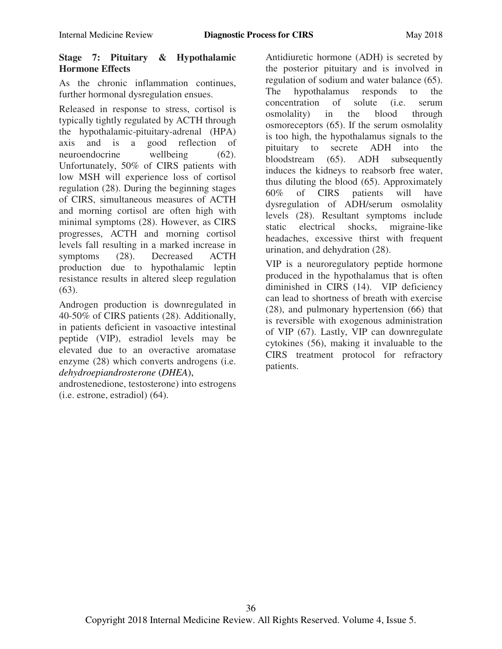#### **Stage 7: Pituitary & Hypothalamic Hormone Effects**

As the chronic inflammation continues, further hormonal dysregulation ensues.

Released in response to stress, cortisol is typically tightly regulated by ACTH through the hypothalamic-pituitary-adrenal (HPA) axis and is a good reflection of neuroendocrine wellbeing (62). Unfortunately, 50% of CIRS patients with low MSH will experience loss of cortisol regulation (28). During the beginning stages of CIRS, simultaneous measures of ACTH and morning cortisol are often high with minimal symptoms (28). However, as CIRS progresses, ACTH and morning cortisol levels fall resulting in a marked increase in symptoms (28). Decreased ACTH production due to hypothalamic leptin resistance results in altered sleep regulation  $(63)$ .

Androgen production is downregulated in 40-50% of CIRS patients (28). Additionally, in patients deficient in vasoactive intestinal peptide (VIP), estradiol levels may be elevated due to an overactive aromatase enzyme (28) which converts androgens (i.e. *dehydroepiandrosterone* (*DHEA*),

androstenedione, testosterone) into estrogens (i.e. estrone, estradiol) (64).

Antidiuretic hormone (ADH) is secreted by the posterior pituitary and is involved in regulation of sodium and water balance (65). The hypothalamus responds to the concentration of solute (i.e. serum osmolality) in the blood through osmoreceptors (65). If the serum osmolality is too high, the hypothalamus signals to the pituitary to secrete ADH into the bloodstream (65). ADH subsequently induces the kidneys to reabsorb free water, thus diluting the blood (65). Approximately 60% of CIRS patients will have dysregulation of ADH/serum osmolality levels (28). Resultant symptoms include static electrical shocks, migraine-like headaches, excessive thirst with frequent urination, and dehydration (28).

VIP is a neuroregulatory peptide hormone produced in the hypothalamus that is often diminished in CIRS (14). VIP deficiency can lead to shortness of breath with exercise (28), and pulmonary hypertension (66) that is reversible with exogenous administration of VIP (67). Lastly, VIP can downregulate cytokines (56), making it invaluable to the CIRS treatment protocol for refractory patients.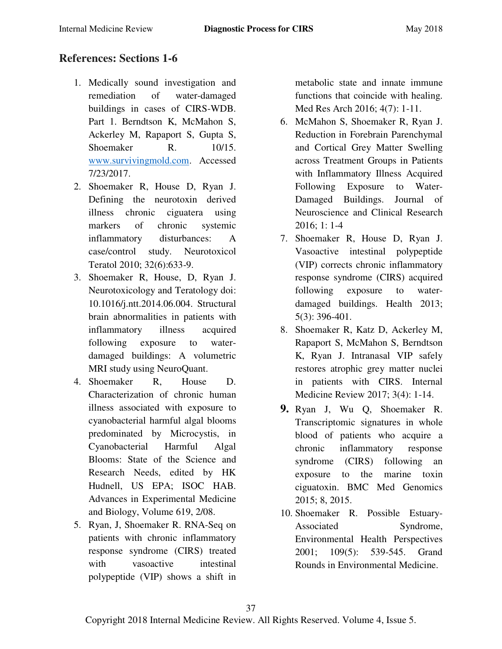# **References: Sections 1-6**

- 1. Medically sound investigation and remediation of water-damaged buildings in cases of CIRS-WDB. Part 1. Berndtson K, McMahon S, Ackerley M, Rapaport S, Gupta S, Shoemaker R. 10/15. [www.survivingmold.com.](http://www.survivingmold.com/) Accessed 7/23/2017.
- 2. Shoemaker R, House D, Ryan J. Defining the neurotoxin derived illness chronic ciguatera using markers of chronic systemic inflammatory disturbances: A case/control study. Neurotoxicol Teratol 2010; 32(6):633-9.
- 3. Shoemaker R, House, D, Ryan J. Neurotoxicology and Teratology doi: 10.1016/j.ntt.2014.06.004. Structural brain abnormalities in patients with inflammatory illness acquired following exposure to waterdamaged buildings: A volumetric MRI study using NeuroQuant.
- 4. Shoemaker R, House D. Characterization of chronic human illness associated with exposure to cyanobacterial harmful algal blooms predominated by Microcystis, in Cyanobacterial Harmful Algal Blooms: State of the Science and Research Needs, edited by HK Hudnell, US EPA; ISOC HAB. Advances in Experimental Medicine and Biology, Volume 619, 2/08.
- 5. Ryan, J, Shoemaker R. RNA-Seq on patients with chronic inflammatory response syndrome (CIRS) treated with vasoactive intestinal polypeptide (VIP) shows a shift in

metabolic state and innate immune functions that coincide with healing. Med Res Arch 2016; 4(7): 1-11.

- 6. McMahon S, Shoemaker R, Ryan J. Reduction in Forebrain Parenchymal and Cortical Grey Matter Swelling across Treatment Groups in Patients with Inflammatory Illness Acquired Following Exposure to Water-Damaged Buildings. Journal of Neuroscience and Clinical Research 2016; 1: 1-4
- 7. Shoemaker R, House D, Ryan J. Vasoactive intestinal polypeptide (VIP) corrects chronic inflammatory response syndrome (CIRS) acquired following exposure to waterdamaged buildings. Health 2013; 5(3): 396-401.
- 8. Shoemaker R, Katz D, Ackerley M, Rapaport S, McMahon S, Berndtson K, Ryan J. Intranasal VIP safely restores atrophic grey matter nuclei in patients with CIRS. Internal Medicine Review 2017; 3(4): 1-14.
- **9.** [Ryan](https://www.ncbi.nlm.nih.gov/pubmed/?term=Ryan%252520JC%25255BAuthor%25255D&cauthor=true&cauthor_uid=25889530) J, [Wu Q,](https://www.ncbi.nlm.nih.gov/pubmed/?term=Wu%252520Q%25255BAuthor%25255D&cauthor=true&cauthor_uid=25889530) [Shoemaker](https://www.ncbi.nlm.nih.gov/pubmed/?term=Shoemaker%252520RC%25255BAuthor%25255D&cauthor=true&cauthor_uid=25889530) R. Transcriptomic signatures in whole blood of patients who acquire a chronic inflammatory response syndrome (CIRS) following an exposure to the marine toxin ciguatoxin. BMC Med Genomics 2015; 8, 2015.
- 10. Shoemaker R. Possible Estuary-Associated Syndrome, Environmental Health Perspectives 2001; 109(5): 539-545. Grand Rounds in Environmental Medicine.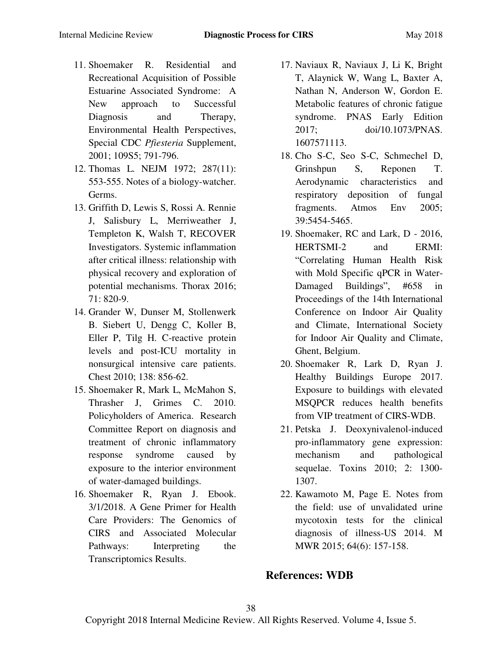- 11. Shoemaker R. Residential and Recreational Acquisition of Possible Estuarine Associated Syndrome: A New approach to Successful Diagnosis and Therapy, Environmental Health Perspectives, Special CDC *Pfiesteria* Supplement, 2001; 109S5; 791-796.
- 12. Thomas L. NEJM 1972; 287(11): 553-555. Notes of a biology-watcher. Germs.
- 13. Griffith D, Lewis S, Rossi A. Rennie J, Salisbury L, Merriweather J, Templeton K, Walsh T, RECOVER Investigators. Systemic inflammation after critical illness: relationship with physical recovery and exploration of potential mechanisms. Thorax 2016; 71: 820-9.
- 14. Grander W, Dunser M, Stollenwerk B. Siebert U, Dengg C, Koller B, Eller P, Tilg H. C-reactive protein levels and post-ICU mortality in nonsurgical intensive care patients. Chest 2010; 138: 856-62.
- 15. Shoemaker R, Mark L, McMahon S, Thrasher J, Grimes C. 2010. Policyholders of America. Research Committee Report on diagnosis and treatment of chronic inflammatory response syndrome caused by exposure to the interior environment of water-damaged buildings.
- 16. Shoemaker R, Ryan J. Ebook. 3/1/2018. A Gene Primer for Health Care Providers: The Genomics of CIRS and Associated Molecular Pathways: Interpreting the Transcriptomics Results.
- 17. Naviaux R, Naviaux J, Li K, Bright T, Alaynick W, Wang L, Baxter A, Nathan N, Anderson W, Gordon E. Metabolic features of chronic fatigue syndrome. PNAS Early Edition 2017; doi/10.1073/PNAS. 1607571113.
- 18. Cho S-C, Seo S-C, Schmechel D, Grinshpun S, Reponen T. Aerodynamic characteristics and respiratory deposition of fungal fragments. Atmos Env 2005; 39:5454-5465.
- 19. Shoemaker, RC and Lark, D 2016, HERTSMI-2 and ERMI: ―Correlating Human Health Risk with Mold Specific qPCR in Water-Damaged Buildings", #658 in Proceedings of the 14th International Conference on Indoor Air Quality and Climate, International Society for Indoor Air Quality and Climate, Ghent, Belgium.
- 20. Shoemaker R, Lark D, Ryan J. Healthy Buildings Europe 2017. Exposure to buildings with elevated MSQPCR reduces health benefits from VIP treatment of CIRS-WDB.
- 21. Petska J. Deoxynivalenol-induced pro-inflammatory gene expression: mechanism and pathological sequelae. Toxins 2010; 2: 1300- 1307.
- 22. Kawamoto M, Page E. Notes from the field: use of unvalidated urine mycotoxin tests for the clinical diagnosis of illness-US 2014. M MWR 2015; 64(6): 157-158.

# **References: WDB**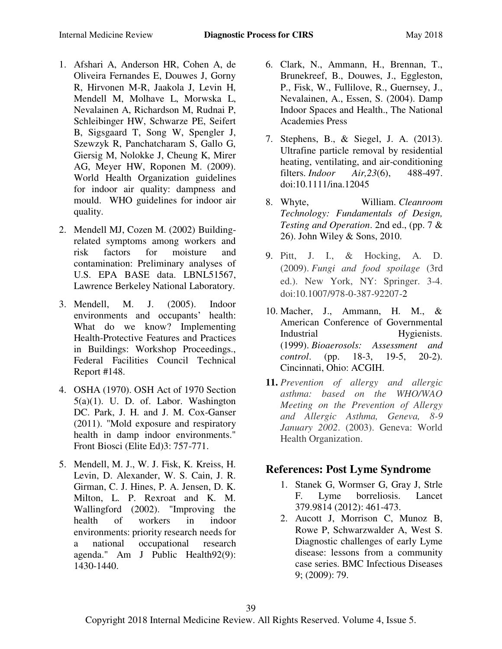- 1. Afshari A, Anderson HR, Cohen A, de Oliveira Fernandes E, Douwes J, Gorny R, Hirvonen M-R, Jaakola J, Levin H, Mendell M, Molhave L, Morwska L, Nevalainen A, Richardson M, Rudnai P, Schleibinger HW, Schwarze PE, Seifert B, Sigsgaard T, Song W, Spengler J, Szewzyk R, Panchatcharam S, Gallo G, Giersig M, Nolokke J, Cheung K, Mirer AG, Meyer HW, Roponen M. (2009). World Health Organization guidelines for indoor air quality: dampness and mould. WHO guidelines for indoor air quality.
- 2. Mendell MJ, Cozen M. (2002) Buildingrelated symptoms among workers and risk factors for moisture and contamination: Preliminary analyses of U.S. EPA BASE data. LBNL51567, Lawrence Berkeley National Laboratory.
- 3. Mendell, M. J. (2005). Indoor environments and occupants' health: What do we know? Implementing Health-Protective Features and Practices in Buildings: Workshop Proceedings., Federal Facilities Council Technical Report #148.
- 4. OSHA (1970). OSH Act of 1970 Section  $5(a)(1)$ . U. D. of. Labor. Washington DC. Park, J. H. and J. M. Cox-Ganser (2011). "Mold exposure and respiratory health in damp indoor environments." Front Biosci (Elite Ed)3: 757-771.
- 5. Mendell, M. J., W. J. Fisk, K. Kreiss, H. Levin, D. Alexander, W. S. Cain, J. R. Girman, C. J. Hines, P. A. Jensen, D. K. Milton, L. P. Rexroat and K. M. Wallingford (2002). "Improving the health of workers in indoor environments: priority research needs for a national occupational research agenda." Am J Public Health92(9): 1430-1440.
- 6. Clark, N., Ammann, H., Brennan, T., Brunekreef, B., Douwes, J., Eggleston, P., Fisk, W., Fullilove, R., Guernsey, J., Nevalainen, A., Essen, S. (2004). Damp Indoor Spaces and Health., The National Academies Press
- 7. Stephens, B., & Siegel, J. A. (2013). Ultrafine particle removal by residential heating, ventilating, and air-conditioning filters. *Indoor Air,23*(6), 488-497. doi:10.1111/ina.12045
- 8. Whyte, William. *Cleanroom Technology: Fundamentals of Design, Testing and Operation*. 2nd ed., (pp. 7 & 26). John Wiley & Sons, 2010.
- 9. Pitt, J. I., & Hocking, A. D. (2009). *Fungi and food spoilage* (3rd ed.). New York, NY: Springer. 3-4. doi:10.1007/978-0-387-92207-2
- 10. Macher, J., Ammann, H. M., & American Conference of Governmental Industrial Hygienists. (1999). *Bioaerosols: Assessment and control*. (pp. 18-3, 19-5, 20-2). Cincinnati, Ohio: ACGIH.
- **11.** *Prevention of allergy and allergic asthma: based on the WHO/WAO Meeting on the Prevention of Allergy and Allergic Asthma, Geneva, 8-9 January 2002*. (2003). Geneva: World Health Organization.

# **References: Post Lyme Syndrome**

- 1. Stanek G, Wormser G, Gray J, Strle F. Lyme borreliosis. Lancet 379.9814 (2012): 461-473.
- 2. Aucott J, Morrison C, Munoz B, Rowe P, Schwarzwalder A, West S. Diagnostic challenges of early Lyme disease: lessons from a community case series. BMC Infectious Diseases 9; (2009): 79.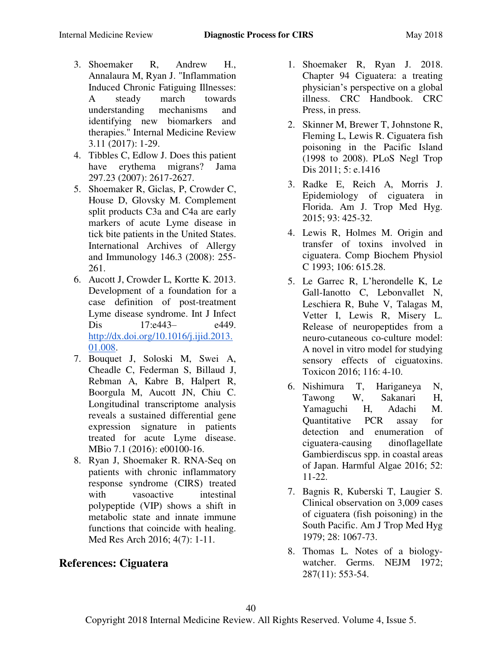- 3. Shoemaker R, Andrew H., Annalaura M, Ryan J. "Inflammation Induced Chronic Fatiguing Illnesses: A steady march towards understanding mechanisms and identifying new biomarkers and therapies." Internal Medicine Review 3.11 (2017): 1-29.
- 4. Tibbles C, Edlow J. Does this patient have erythema migrans? Jama 297.23 (2007): 2617-2627.
- 5. Shoemaker R, Giclas, P, Crowder C, House D, Glovsky M. Complement split products C3a and C4a are early markers of acute Lyme disease in tick bite patients in the United States. International Archives of Allergy and Immunology 146.3 (2008): 255- 261.
- 6. Aucott J, Crowder L, Kortte K. 2013. Development of a foundation for a case definition of post-treatment Lyme disease syndrome. Int J Infect Dis 17:e443– e449. [http://dx.doi.org/10.1016/j.ijid.2013.](http://dx.doi.org/10.1016/j.ijid.2013.01.008) [01.008.](http://dx.doi.org/10.1016/j.ijid.2013.01.008)
- 7. Bouquet J, Soloski M, Swei A, Cheadle C, Federman S, Billaud J, Rebman A, Kabre B, Halpert R, Boorgula M, Aucott JN, Chiu C. Longitudinal transcriptome analysis reveals a sustained differential gene expression signature in patients treated for acute Lyme disease. MBio 7.1 (2016): e00100-16.
- 8. Ryan J, Shoemaker R. RNA-Seq on patients with chronic inflammatory response syndrome (CIRS) treated with vasoactive intestinal polypeptide (VIP) shows a shift in metabolic state and innate immune functions that coincide with healing. Med Res Arch 2016; 4(7): 1-11.

# **References: Ciguatera**

- 1. Shoemaker R, Ryan J. 2018. Chapter 94 Ciguatera: a treating physician's perspective on a global illness. CRC Handbook. CRC Press, in press.
- 2. Skinner M, Brewer T, Johnstone R, Fleming L, Lewis R. Ciguatera fish poisoning in the Pacific Island (1998 to 2008). PLoS Negl Trop Dis 2011; 5: e.1416
- 3. Radke E, Reich A, Morris J. Epidemiology of ciguatera in Florida. Am J. Trop Med Hyg. 2015; 93: 425-32.
- 4. Lewis R, Holmes M. Origin and transfer of toxins involved in ciguatera. Comp Biochem Physiol C 1993; 106: 615.28.
- 5. Le Garrec R, L'herondelle K, Le Gall-Ianotto C, Lebonvallet N, Leschiera R, Buhe V, Talagas M, Vetter I, Lewis R, Misery L. Release of neuropeptides from a neuro-cutaneous co-culture model: A novel in vitro model for studying sensory effects of ciguatoxins. Toxicon 2016; 116: 4-10.
- 6. Nishimura T, Hariganeya N, Tawong W, Sakanari H, Yamaguchi H, Adachi M. Quantitative PCR assay for detection and enumeration of ciguatera-causing dinoflagellate Gambierdiscus spp. in coastal areas of Japan. Harmful Algae 2016; 52: 11-22.
- 7. Bagnis R, Kuberski T, Laugier S. Clinical observation on 3,009 cases of ciguatera (fish poisoning) in the South Pacific. Am J Trop Med Hyg 1979; 28: 1067-73.
- 8. Thomas L. Notes of a biologywatcher. Germs. NEJM 1972; 287(11): 553-54.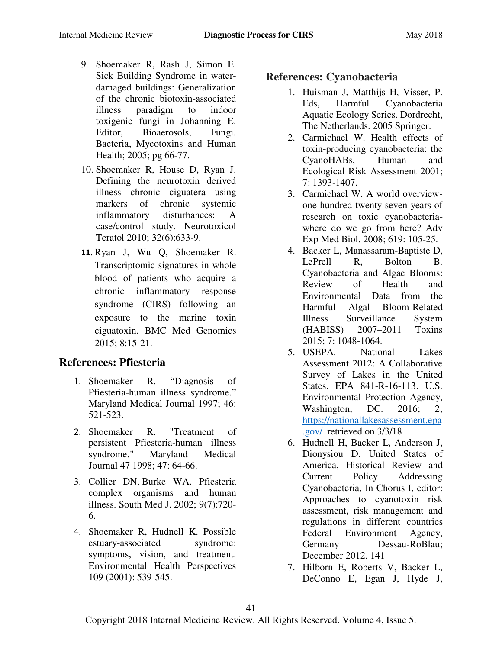- 9. Shoemaker R, Rash J, Simon E. Sick Building Syndrome in waterdamaged buildings: Generalization of the chronic biotoxin-associated illness paradigm to indoor toxigenic fungi in Johanning E. Editor, Bioaerosols, Fungi. Bacteria, Mycotoxins and Human Health; 2005; pg 66-77.
- 10. Shoemaker R, House D, Ryan J. Defining the neurotoxin derived illness chronic ciguatera using markers of chronic systemic inflammatory disturbances: A case/control study. Neurotoxicol Teratol 2010; 32(6):633-9.
- **11.** Ryan J, Wu Q, Shoemaker R. Transcriptomic signatures in whole blood of patients who acquire a chronic inflammatory response syndrome (CIRS) following an exposure to the marine toxin ciguatoxin. BMC Med Genomics 2015; 8:15-21.

### **References: Pfiesteria**

- 1. Shoemaker R. "Diagnosis of Pfiesteria-human illness syndrome." Maryland Medical Journal 1997; 46: 521-523.
- 2. Shoemaker R. "Treatment of persistent Pfiesteria-human illness syndrome." Maryland Medical Journal 47 1998; 47: 64-66.
- 3. [Collier DN,](https://www.ncbi.nlm.nih.gov/pubmed/?term=Collier%20DN%5BAuthor%5D&cauthor=true&cauthor_uid=12144078) [Burke WA.](https://www.ncbi.nlm.nih.gov/pubmed/?term=Burke%20WA%5BAuthor%5D&cauthor=true&cauthor_uid=12144078) Pfiesteria complex organisms and human illness. [South Med J.](https://www.ncbi.nlm.nih.gov/pubmed/12144078) 2002; 9(7):720- 6.
- 4. Shoemaker R, Hudnell K. Possible estuary-associated syndrome: symptoms, vision, and treatment. Environmental Health Perspectives 109 (2001): 539-545.

### **References: Cyanobacteria**

- 1. Huisman J, Matthijs H, Visser, P. Eds, Harmful Cyanobacteria Aquatic Ecology Series. Dordrecht, The Netherlands. 2005 Springer.
- 2. Carmichael W. Health effects of toxin-producing cyanobacteria: the CyanoHABs, Human and Ecological Risk Assessment 2001; 7: 1393-1407.
- 3. Carmichael W. A world overviewone hundred twenty seven years of research on toxic cyanobacteriawhere do we go from here? Adv Exp Med Biol. 2008; 619: 105-25.
- 4. Backer L, Manassaram-Baptiste D, LePrell R, Bolton B. Cyanobacteria and Algae Blooms: Review of Health and Environmental Data from the Harmful Algal Bloom-Related Illness Surveillance System (HABISS) 2007–2011 Toxins 2015; 7: 1048-1064.
- 5. USEPA. National Lakes Assessment 2012: A Collaborative Survey of Lakes in the United States. EPA 841-R-16-113. U.S. Environmental Protection Agency, Washington, DC. 2016; 2; [https://nationallakesassessment.epa](https://nationallakesassessment.epa.gov/) [.gov/](https://nationallakesassessment.epa.gov/) retrieved on 3/3/18
- 6. Hudnell H, Backer L, Anderson J, Dionysiou D. United States of America, Historical Review and Current Policy Addressing Cyanobacteria, In Chorus I, editor: Approaches to cyanotoxin risk assessment, risk management and regulations in different countries Federal Environment Agency, Germany Dessau-RoBlau; December 2012. 141
- 7. Hilborn E, Roberts V, Backer L, DeConno E, Egan J, Hyde J,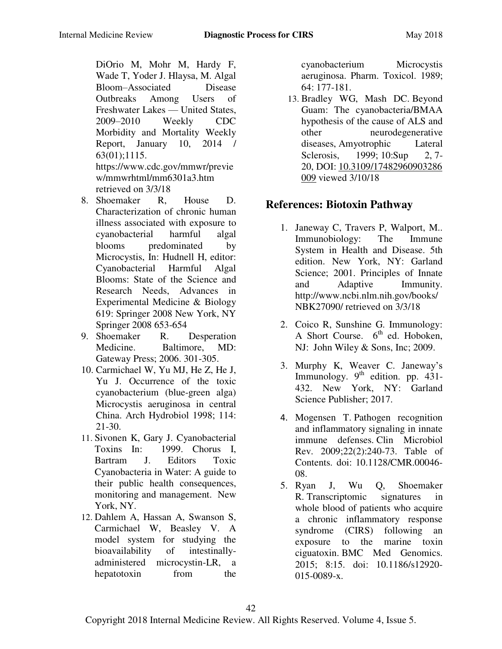DiOrio M, Mohr M, Hardy F, Wade T, Yoder J. Hlaysa, M. Algal Bloom–Associated Disease Outbreaks Among Users of Freshwater Lakes — United States, 2009–2010 Weekly CDC Morbidity and Mortality Weekly Report, January 10, 2014 / 63(01);1115. https://www.cdc.gov/mmwr/previe w/mmwrhtml/mm6301a3.htm retrieved on 3/3/18

- 8. Shoemaker R, House D. Characterization of chronic human illness associated with exposure to cyanobacterial harmful algal blooms predominated by Microcystis, In: Hudnell H, editor: Cyanobacterial Harmful Algal Blooms: State of the Science and Research Needs, Advances in Experimental Medicine & Biology 619: Springer 2008 New York, NY Springer 2008 653-654
- 9. Shoemaker R. Desperation Medicine. Baltimore, MD: Gateway Press; 2006. 301-305.
- 10. Carmichael W, Yu MJ, He Z, He J, Yu J. Occurrence of the toxic cyanobacterium (blue-green alga) Microcystis aeruginosa in central China. Arch Hydrobiol 1998; 114: 21-30.
- 11. Sivonen K, Gary J. Cyanobacterial Toxins In: 1999. Chorus I, Bartram J. Editors Toxic Cyanobacteria in Water: A guide to their public health consequences, monitoring and management. New York, NY.
- 12. Dahlem A, Hassan A, Swanson S, Carmichael W, Beasley V. A model system for studying the bioavailability of intestinallyadministered microcystin-LR, a hepatotoxin from the

cyanobacterium Microcystis aeruginosa. Pharm. Toxicol. 1989; 64: 177-181.

13. Bradley WG, Mash DC. Beyond Guam: The cyanobacteria/BMAA hypothesis of the cause of ALS and other neurodegenerative diseases, Amyotrophic Lateral Sclerosis, 1999; 10:Sup 2, 7-20, DOI: [10.3109/17482960903286](https://doi.org/10.3109/17482960903286009) [009](https://doi.org/10.3109/17482960903286009) viewed 3/10/18

# **References: Biotoxin Pathway**

- 1. Janeway C, Travers P, Walport, M.. Immunobiology: The Immune System in Health and Disease. 5th edition. New York, NY: Garland Science; 2001. Principles of Innate and Adaptive Immunity. [http://www.ncbi.nlm.nih.gov/books/](http://www.ncbi.nlm.nih.gov/books/NBK27090/) [NBK27090/](http://www.ncbi.nlm.nih.gov/books/NBK27090/) retrieved on 3/3/18
- 2. Coico R, Sunshine G. Immunology: A Short Course.  $6<sup>th</sup>$  ed. Hoboken, NJ: John Wiley & Sons, Inc; 2009.
- 3. Murphy K, Weaver C. Janeway's Immunology.  $9<sup>th</sup>$  edition. pp. 431-432. New York, NY: Garland Science Publisher; 2017.
- 4. Mogensen T. [Pathogen recognition](https://www.ncbi.nlm.nih.gov/pubmed/19366914)  [and inflammatory signaling in innate](https://www.ncbi.nlm.nih.gov/pubmed/19366914)  [immune defenses.](https://www.ncbi.nlm.nih.gov/pubmed/19366914) Clin Microbiol Rev. 2009;22(2):240-73. Table of Contents. doi: 10.1128/CMR.00046- 08.
- 5. Ryan J, Wu Q, Shoemaker R. [Transcriptomic signatures in](https://www.ncbi.nlm.nih.gov/pubmed/25889530) [whole blood of patients who acquire](https://www.ncbi.nlm.nih.gov/pubmed/25889530)  [a chronic inflammatory response](https://www.ncbi.nlm.nih.gov/pubmed/25889530)  [syndrome \(CIRS\) following an](https://www.ncbi.nlm.nih.gov/pubmed/25889530) [exposure to the marine toxin](https://www.ncbi.nlm.nih.gov/pubmed/25889530)  [ciguatoxin.](https://www.ncbi.nlm.nih.gov/pubmed/25889530) BMC Med Genomics. 2015; 8:15. doi: 10.1186/s12920- 015-0089-x.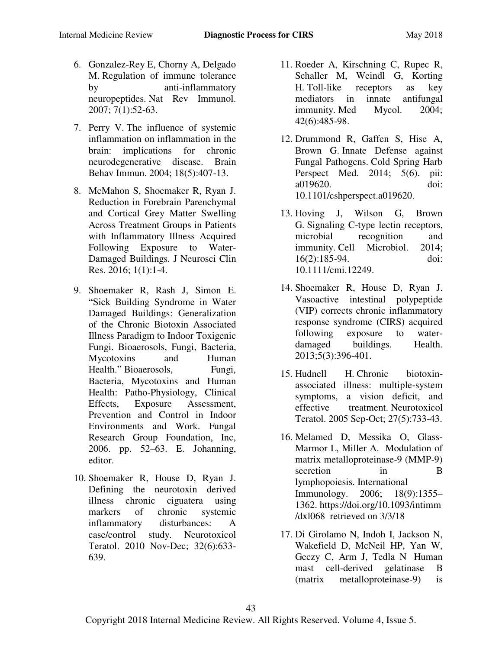- 6. Gonzalez-Rey E, Chorny A, Delgado M. [Regulation of immune tolerance](https://www.ncbi.nlm.nih.gov/pubmed/17186031)  [by anti-inflammatory](https://www.ncbi.nlm.nih.gov/pubmed/17186031)  [neuropeptides.](https://www.ncbi.nlm.nih.gov/pubmed/17186031) Nat Rev Immunol. 2007; 7(1):52-63.
- 7. Perry V. [The influence of systemic](https://www.ncbi.nlm.nih.gov/pubmed/15265532)  [inflammation on inflammation in the](https://www.ncbi.nlm.nih.gov/pubmed/15265532)  [brain: implications for chronic](https://www.ncbi.nlm.nih.gov/pubmed/15265532)  [neurodegenerative disease.](https://www.ncbi.nlm.nih.gov/pubmed/15265532) Brain Behav Immun. 2004; 18(5):407-13.
- 8. McMahon S, Shoemaker R, Ryan J. Reduction in Forebrain Parenchymal and Cortical Grey Matter Swelling Across Treatment Groups in Patients with Inflammatory Illness Acquired Following Exposure to Water-Damaged Buildings. J Neurosci Clin Res. 2016; 1(1):1-4.
- 9. Shoemaker R, Rash J, Simon E. ―Sick Building Syndrome in Water Damaged Buildings: Generalization of the Chronic Biotoxin Associated Illness Paradigm to Indoor Toxigenic Fungi. Bioaerosols, Fungi, Bacteria, Mycotoxins and Human Health." Bioaerosols, Fungi, Bacteria, Mycotoxins and Human Health: Patho-Physiology, Clinical Effects, Exposure Assessment, Prevention and Control in Indoor Environments and Work. Fungal Research Group Foundation, Inc, 2006. pp. 52–63. E. Johanning, editor.
- 10. Shoemaker R, House D, Ryan J. Defining the neurotoxin derived illness chronic ciguatera using markers of chronic systemic inflammatory disturbances: A case/control study. Neurotoxicol Teratol. 2010 Nov-Dec; 32(6):633- 639.
- 11. Roeder A, Kirschning C, Rupec R, Schaller M, Weindl G, Korting H. [Toll-like receptors as key](https://www.ncbi.nlm.nih.gov/pubmed/15682636)  [mediators in innate antifungal](https://www.ncbi.nlm.nih.gov/pubmed/15682636)  [immunity.](https://www.ncbi.nlm.nih.gov/pubmed/15682636) Med Mycol. 2004; 42(6):485-98.
- 12. Drummond R, Gaffen S, Hise A, Brown G. [Innate Defense against](https://www.ncbi.nlm.nih.gov/pubmed/25384766)  [Fungal Pathogens.](https://www.ncbi.nlm.nih.gov/pubmed/25384766) Cold Spring Harb Perspect Med. 2014; 5(6). pii: a019620. doi: 10.1101/cshperspect.a019620.
- 13. Hoving J, Wilson G, Brown G. [Signaling C-type lectin receptors,](https://www.ncbi.nlm.nih.gov/pubmed/24330199)  [microbial recognition and](https://www.ncbi.nlm.nih.gov/pubmed/24330199)  [immunity.](https://www.ncbi.nlm.nih.gov/pubmed/24330199) Cell Microbiol. 2014; 16(2):185-94. doi: 10.1111/cmi.12249.
- 14. Shoemaker R, House D, Ryan J. Vasoactive intestinal polypeptide (VIP) corrects chronic inflammatory response syndrome (CIRS) acquired following exposure to waterdamaged buildings. Health. 2013;5(3):396-401.
- 15. Hudnell H. [Chronic biotoxin](https://www.ncbi.nlm.nih.gov/pubmed/16102938)[associated illness: multiple-system](https://www.ncbi.nlm.nih.gov/pubmed/16102938)  [symptoms, a vision deficit, and](https://www.ncbi.nlm.nih.gov/pubmed/16102938)  [effective treatment.](https://www.ncbi.nlm.nih.gov/pubmed/16102938) Neurotoxicol Teratol. 2005 Sep-Oct; 27(5):733-43.
- 16. Melamed D, Messika O, Glass-Marmor L, Miller A. Modulation of matrix metalloproteinase-9 (MMP-9) secretion in B lymphopoiesis. International Immunology. 2006; 18(9):1355– 1362. [https://doi.org/10.1093/intimm](https://doi.org/10.1093/intimm/dxl068) [/dxl068](https://doi.org/10.1093/intimm/dxl068) retrieved on 3/3/18
- 17. Di Girolamo N, Indoh I, Jackson N, Wakefield D, McNeil HP, Yan W, Geczy C, Arm J, Tedla N [Human](https://www.ncbi.nlm.nih.gov/pubmed/16888026)  [mast cell-derived gelatinase B](https://www.ncbi.nlm.nih.gov/pubmed/16888026)  [\(matrix metalloproteinase-9\) is](https://www.ncbi.nlm.nih.gov/pubmed/16888026)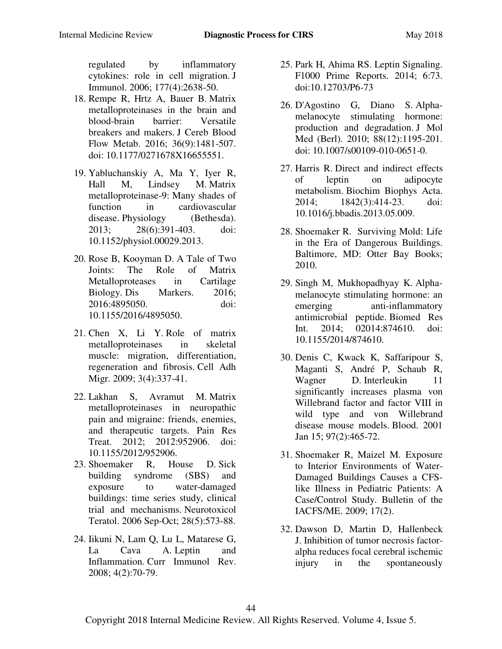[regulated by inflammatory](https://www.ncbi.nlm.nih.gov/pubmed/16888026)  [cytokines: role in cell migration.](https://www.ncbi.nlm.nih.gov/pubmed/16888026) J Immunol. 2006; 177(4):2638-50.

- 18. Rempe R, Hrtz A, Bauer B. [Matrix](https://www.ncbi.nlm.nih.gov/pubmed/27323783)  [metalloproteinases in the brain and](https://www.ncbi.nlm.nih.gov/pubmed/27323783)  [blood-brain barrier: Versatile](https://www.ncbi.nlm.nih.gov/pubmed/27323783)  [breakers and makers.](https://www.ncbi.nlm.nih.gov/pubmed/27323783) J Cereb Blood Flow Metab. 2016; 36(9):1481-507. doi: 10.1177/0271678X16655551.
- 19. Yabluchanskiy A, Ma Y, Iyer R, Hall M, Lindsey M. [Matrix](https://www.ncbi.nlm.nih.gov/pubmed/24186934)  [metalloproteinase-9: Many shades of](https://www.ncbi.nlm.nih.gov/pubmed/24186934)  [function in cardiovascular](https://www.ncbi.nlm.nih.gov/pubmed/24186934)  [disease.](https://www.ncbi.nlm.nih.gov/pubmed/24186934) Physiology (Bethesda). 2013; 28(6):391-403. doi: 10.1152/physiol.00029.2013.
- 20. Rose B, Kooyman D. A Tale [of Two](https://www.ncbi.nlm.nih.gov/pubmed/27478294)  [Joints: The Role of Matrix](https://www.ncbi.nlm.nih.gov/pubmed/27478294)  [Metalloproteases in Cartilage](https://www.ncbi.nlm.nih.gov/pubmed/27478294)  [Biology.](https://www.ncbi.nlm.nih.gov/pubmed/27478294) Dis Markers. 2016; 2016:4895050. doi: 10.1155/2016/4895050.
- 21. Chen X, Li Y. [Role of matrix](https://www.ncbi.nlm.nih.gov/pubmed/19667757)  [metalloproteinases in skeletal](https://www.ncbi.nlm.nih.gov/pubmed/19667757)  [muscle: migration, differentiation,](https://www.ncbi.nlm.nih.gov/pubmed/19667757)  [regeneration and fibrosis.](https://www.ncbi.nlm.nih.gov/pubmed/19667757) Cell Adh Migr. 2009; 3(4):337-41.
- 22. Lakhan S, Avramut M. [Matrix](https://www.ncbi.nlm.nih.gov/pubmed/22970361)  [metalloproteinases in neuropathic](https://www.ncbi.nlm.nih.gov/pubmed/22970361)  [pain and migraine: friends, enemies,](https://www.ncbi.nlm.nih.gov/pubmed/22970361)  [and therapeutic targets.](https://www.ncbi.nlm.nih.gov/pubmed/22970361) Pain Res Treat. 2012; 2012:952906. doi: 10.1155/2012/952906.
- 23. Shoemaker R, House D. [Sick](https://www.ncbi.nlm.nih.gov/pubmed/17010568)  [building syndrome \(SBS\) and](https://www.ncbi.nlm.nih.gov/pubmed/17010568)  [exposure to water-damaged](https://www.ncbi.nlm.nih.gov/pubmed/17010568)  [buildings: time series study, clinical](https://www.ncbi.nlm.nih.gov/pubmed/17010568) [trial and mechanisms.](https://www.ncbi.nlm.nih.gov/pubmed/17010568) Neurotoxicol Teratol. 2006 Sep-Oct; 28(5):573-88.
- 24. Iikuni N, Lam Q, Lu L, Matarese G, La Cava A. [Leptin and](https://www.ncbi.nlm.nih.gov/pubmed/20198122)  [Inflammation.](https://www.ncbi.nlm.nih.gov/pubmed/20198122) Curr Immunol Rev. 2008; 4(2):70-79.
- 25. Park H, Ahima RS. Leptin Signaling. F1000 Prime Reports. 2014; 6:73. doi:10.12703/P6-73
- 26. D'Agostino G, Diano S. [Alpha](https://www.ncbi.nlm.nih.gov/pubmed/20617297)[melanocyte stimulating hormone:](https://www.ncbi.nlm.nih.gov/pubmed/20617297)  [production and degradation.](https://www.ncbi.nlm.nih.gov/pubmed/20617297) J Mol Med (Berl). 2010; 88(12):1195-201. doi: 10.1007/s00109-010-0651-0.
- 27. Harris R. [Direct and indirect effects](https://www.ncbi.nlm.nih.gov/pubmed/23685313)  [of leptin on adipocyte](https://www.ncbi.nlm.nih.gov/pubmed/23685313)  [metabolism.](https://www.ncbi.nlm.nih.gov/pubmed/23685313) Biochim Biophys Acta. 2014; 1842(3):414-23. doi: 10.1016/j.bbadis.2013.05.009.
- 28. Shoemaker R. Surviving Mold: Life in the Era of Dangerous Buildings. Baltimore, MD: Otter Bay Books; 2010.
- 29. Singh M, Mukhopadhyay K. [Alpha](https://www.ncbi.nlm.nih.gov/pubmed/25140322)[melanocyte stimulating hormone: an](https://www.ncbi.nlm.nih.gov/pubmed/25140322) [emerging anti-inflammatory](https://www.ncbi.nlm.nih.gov/pubmed/25140322)  [antimicrobial peptide.](https://www.ncbi.nlm.nih.gov/pubmed/25140322) Biomed Res Int. 2014; 02014:874610. doi: 10.1155/2014/874610.
- 30. Denis C, Kwack K, Saffaripour S, Maganti S, André P, Schaub R, Wagner D. Interleukin 11 [significantly increases plasma von](https://www.ncbi.nlm.nih.gov/pubmed/11154224)  [Willebrand factor and factor VIII in](https://www.ncbi.nlm.nih.gov/pubmed/11154224) [wild type and von Willebrand](https://www.ncbi.nlm.nih.gov/pubmed/11154224)  [disease mouse models.](https://www.ncbi.nlm.nih.gov/pubmed/11154224) Blood. 2001 Jan 15; 97(2):465-72.
- 31. Shoemaker R, Maizel M. Exposure to Interior Environments of Water-Damaged Buildings Causes a CFSlike Illness in Pediatric Patients: A Case/Control Study. Bulletin of the IACFS/ME. 2009; 17(2).
- 32. Dawson D, Martin D, Hallenbeck J. [Inhibition of tumor necrosis factor](https://www.ncbi.nlm.nih.gov/pubmed/8939476)[alpha reduces focal cerebral ischemic](https://www.ncbi.nlm.nih.gov/pubmed/8939476)  [injury in the spontaneously](https://www.ncbi.nlm.nih.gov/pubmed/8939476)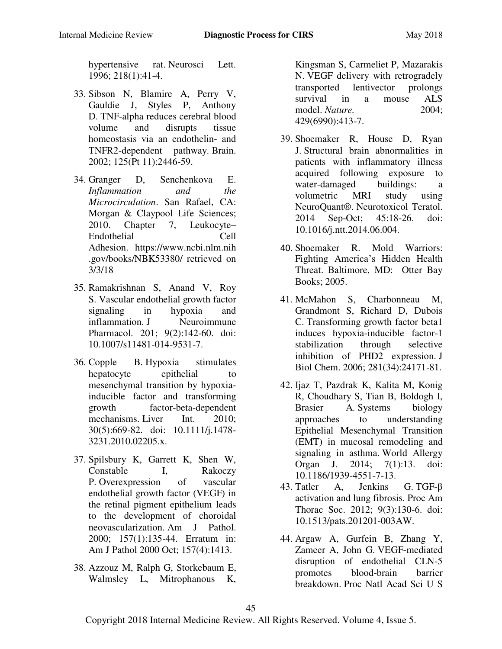[hypertensive rat.](https://www.ncbi.nlm.nih.gov/pubmed/8939476) Neurosci Lett. 1996; 218(1):41-4.

- 33. Sibson N, Blamire A, Perry V, Gauldie J, Styles P, Anthony D. [TNF-alpha reduces cerebral blood](https://www.ncbi.nlm.nih.gov/pubmed/12390971)  [volume and disrupts tissue](https://www.ncbi.nlm.nih.gov/pubmed/12390971)  [homeostasis via an endothelin- and](https://www.ncbi.nlm.nih.gov/pubmed/12390971)  [TNFR2-dependent pathway.](https://www.ncbi.nlm.nih.gov/pubmed/12390971) Brain. 2002; 125(Pt 11):2446-59.
- 34. Granger D, Senchenkova E. *Inflammation and the Microcirculation*. San Rafael, CA: Morgan & Claypool Life Sciences; 2010. Chapter 7, Leukocyte– Endothelial Cell Adhesion. [https://www.ncbi.nlm.nih](https://www.ncbi.nlm.nih.gov/books/NBK53380/) [.gov/books/NBK53380/](https://www.ncbi.nlm.nih.gov/books/NBK53380/) retrieved on 3/3/18
- 35. Ramakrishnan S, Anand V, Roy S. [Vascular endothelial growth factor](https://www.ncbi.nlm.nih.gov/pubmed/24610033)  [signaling in hypoxia and](https://www.ncbi.nlm.nih.gov/pubmed/24610033)  [inflammation.](https://www.ncbi.nlm.nih.gov/pubmed/24610033) J Neuroimmune Pharmacol. 201; 9(2):142-60. doi: 10.1007/s11481-014-9531-7.
- 36. Copple B. [Hypoxia stimulates](https://www.ncbi.nlm.nih.gov/pubmed/20158611)  [hepatocyte epithelial to](https://www.ncbi.nlm.nih.gov/pubmed/20158611) [mesenchymal transition by hypoxia](https://www.ncbi.nlm.nih.gov/pubmed/20158611)[inducible factor and transforming](https://www.ncbi.nlm.nih.gov/pubmed/20158611)  [growth factor-beta-dependent](https://www.ncbi.nlm.nih.gov/pubmed/20158611)  [mechanisms.](https://www.ncbi.nlm.nih.gov/pubmed/20158611) Liver Int. 2010; 30(5):669-82. doi: 10.1111/j.1478- 3231.2010.02205.x.
- 37. Spilsbury K, Garrett K, Shen W, Constable I, Rakoczy P. [Overexpression of vascular](https://www.ncbi.nlm.nih.gov/pubmed/10880384)  [endothelial growth factor \(VEGF\) in](https://www.ncbi.nlm.nih.gov/pubmed/10880384) [the retinal pigment epithelium leads](https://www.ncbi.nlm.nih.gov/pubmed/10880384)  [to the development of choroidal](https://www.ncbi.nlm.nih.gov/pubmed/10880384)  [neovascularization.](https://www.ncbi.nlm.nih.gov/pubmed/10880384) Am J Pathol. 2000; 157(1):135-44. Erratum in: Am J Pathol 2000 Oct; 157(4):1413.
- 38. Azzouz M, Ralph G, Storkebaum E, Walmsley L, Mitrophanous K,

Kingsman S, Carmeliet P, Mazarakis N. [VEGF delivery with retrogradely](https://www.ncbi.nlm.nih.gov/pubmed/15164063)  [transported lentivector prolongs](https://www.ncbi.nlm.nih.gov/pubmed/15164063)  [survival in a mouse ALS](https://www.ncbi.nlm.nih.gov/pubmed/15164063)  [model.](https://www.ncbi.nlm.nih.gov/pubmed/15164063) *Nature*. 2004: 429(6990):413-7.

- 39. Shoemaker R, House D, Ryan J. [Structural brain abnormalities in](https://www.ncbi.nlm.nih.gov/pubmed/24946038) [patients with inflammatory illness](https://www.ncbi.nlm.nih.gov/pubmed/24946038)  [acquired following exposure to](https://www.ncbi.nlm.nih.gov/pubmed/24946038) water-damaged buildings: a [volumetric MRI study using](https://www.ncbi.nlm.nih.gov/pubmed/24946038)  [NeuroQuant®.](https://www.ncbi.nlm.nih.gov/pubmed/24946038) Neurotoxicol Teratol. 2014 Sep-Oct; 45:18-26. doi: 10.1016/j.ntt.2014.06.004.
- 40. Shoemaker R. Mold Warriors: Fighting America's Hidden Health Threat. Baltimore, MD: Otter Bay Books; 2005.
- 41. McMahon S, Charbonneau M, Grandmont S, Richard D, Dubois C. [Transforming growth factor beta1](https://www.ncbi.nlm.nih.gov/pubmed/16815840)  [induces hypoxia-inducible factor-1](https://www.ncbi.nlm.nih.gov/pubmed/16815840)  [stabilization through selective](https://www.ncbi.nlm.nih.gov/pubmed/16815840)  [inhibition of PHD2 expression.](https://www.ncbi.nlm.nih.gov/pubmed/16815840) J Biol Chem. 2006; 281(34):24171-81.
- 42. Ijaz T, Pazdrak K, Kalita M, Konig R, Choudhary S, Tian B, Boldogh I, Brasier A. [Systems biology](https://www.ncbi.nlm.nih.gov/pubmed/24982697)  [approaches to understanding](https://www.ncbi.nlm.nih.gov/pubmed/24982697)  [Epithelial Mesenchymal Transition](https://www.ncbi.nlm.nih.gov/pubmed/24982697)  [\(EMT\) in mucosal remodeling and](https://www.ncbi.nlm.nih.gov/pubmed/24982697)  [signaling in asthma.](https://www.ncbi.nlm.nih.gov/pubmed/24982697) World Allergy Organ J. 2014; 7(1):13. doi: 10.1186/1939-4551-7-13.
- 43. Tatler A, Jenkins G. [TGF-](https://www.ncbi.nlm.nih.gov/pubmed/22802287)β [activation and lung fibrosis.](https://www.ncbi.nlm.nih.gov/pubmed/22802287) Proc Am Thorac Soc. 2012; 9(3):130-6. doi: 10.1513/pats.201201-003AW.
- 44. Argaw A, Gurfein B, Zhang Y, Zameer A, John G. [VEGF-mediated](https://www.ncbi.nlm.nih.gov/pubmed/19174516)  [disruption of endothelial CLN-5](https://www.ncbi.nlm.nih.gov/pubmed/19174516)  [promotes blood-brain barrier](https://www.ncbi.nlm.nih.gov/pubmed/19174516)  [breakdown.](https://www.ncbi.nlm.nih.gov/pubmed/19174516) Proc Natl Acad Sci U S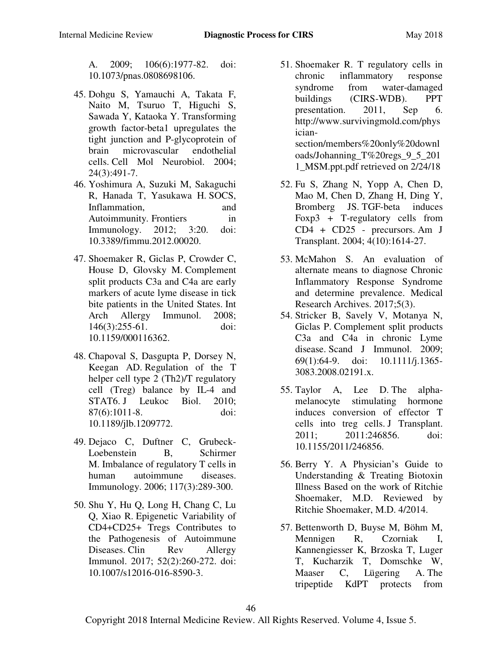A. 2009; 106(6):1977-82. doi: 10.1073/pnas.0808698106.

- 45. Dohgu S, Yamauchi A, Takata F, Naito M, Tsuruo T, Higuchi S, Sawada Y, Kataoka Y. [Transforming](https://www.ncbi.nlm.nih.gov/pubmed/15206827)  [growth factor-beta1 upregulates the](https://www.ncbi.nlm.nih.gov/pubmed/15206827)  [tight junction and P-glycoprotein of](https://www.ncbi.nlm.nih.gov/pubmed/15206827)  [brain microvascular endothelial](https://www.ncbi.nlm.nih.gov/pubmed/15206827)  [cells.](https://www.ncbi.nlm.nih.gov/pubmed/15206827) Cell Mol Neurobiol. 2004; 24(3):491-7.
- 46. Yoshimura A, Suzuki M, Sakaguchi R, Hanada T, Yasukawa H. [SOCS,](https://www.ncbi.nlm.nih.gov/pubmed/22566904)  [Inflammation, and](https://www.ncbi.nlm.nih.gov/pubmed/22566904)  [Autoimmunity.](https://www.ncbi.nlm.nih.gov/pubmed/22566904) Frontiers in Immunology. 2012; 3:20. doi: 10.3389/fimmu.2012.00020.
- 47. Shoemaker R, Giclas P, Crowder C, House D, Glovsky M. [Complement](https://www.ncbi.nlm.nih.gov/pubmed/18270493)  [split products C3a and C4a are early](https://www.ncbi.nlm.nih.gov/pubmed/18270493)  [markers of acute lyme disease in tick](https://www.ncbi.nlm.nih.gov/pubmed/18270493)  [bite patients in the United States.](https://www.ncbi.nlm.nih.gov/pubmed/18270493) Int Arch Allergy Immunol. 2008; 146(3):255-61. doi: 10.1159/000116362.
- 48. Chapoval S, Dasgupta P, Dorsey N, Keegan AD. [Regulation of the T](https://www.ncbi.nlm.nih.gov/pubmed/20335310)  [helper cell type 2 \(Th2\)/T regulatory](https://www.ncbi.nlm.nih.gov/pubmed/20335310)  [cell \(Treg\) balance by IL-4 and](https://www.ncbi.nlm.nih.gov/pubmed/20335310)  [STAT6.](https://www.ncbi.nlm.nih.gov/pubmed/20335310) J Leukoc Biol. 2010; 87(6):1011-8. doi: 10.1189/jlb.1209772.
- 49. Dejaco C, Duftner C, Grubeck-Loebenstein B, Schirmer M. [Imbalance of regulatory T cells](https://www.ncbi.nlm.nih.gov/pubmed/16476048) in [human autoimmune diseases.](https://www.ncbi.nlm.nih.gov/pubmed/16476048)  Immunology. 2006; 117(3):289-300.
- 50. Shu Y, Hu Q, Long H, Chang C, Lu Q, Xiao R. [Epigenetic Variability of](https://www.ncbi.nlm.nih.gov/pubmed/27687891)  [CD4+CD25+ Tregs Contributes to](https://www.ncbi.nlm.nih.gov/pubmed/27687891) [the Pathogenesis of Autoimmune](https://www.ncbi.nlm.nih.gov/pubmed/27687891)  [Diseases.](https://www.ncbi.nlm.nih.gov/pubmed/27687891) Clin Rev Allergy Immunol. 2017; 52(2):260-272. doi: 10.1007/s12016-016-8590-3.
- 51. Shoemaker R. T regulatory cells in chronic inflammatory response syndrome from water-damaged buildings (CIRS-WDB). PPT presentation. 2011, Sep 6. http://www.survivingmold.com/phys iciansection/members%20only%20downl oads/Johanning\_T%20regs\_9\_5\_201 1\_MSM.ppt.pdf retrieved on 2/24/18
- 52. Fu S, Zhang N, Yopp A, Chen D, Mao M, Chen D, Zhang H, Ding Y, Bromberg JS. [TGF-beta induces](https://www.ncbi.nlm.nih.gov/pubmed/15367216)  [Foxp3 + T-regulatory cells](https://www.ncbi.nlm.nih.gov/pubmed/15367216) from [CD4 + CD25 - precursors.](https://www.ncbi.nlm.nih.gov/pubmed/15367216) Am J Transplant. 2004; 4(10):1614-27.
- 53. McMahon S. An evaluation of alternate means to diagnose Chronic Inflammatory Response Syndrome and determine prevalence. Medical Research Archives. 2017;5(3).
- 54. Stricker B, Savely V, Motanya N, Giclas P. [Complement split products](https://www.ncbi.nlm.nih.gov/pubmed/19140878)  C3a and C4a [in chronic Lyme](https://www.ncbi.nlm.nih.gov/pubmed/19140878)  [disease.](https://www.ncbi.nlm.nih.gov/pubmed/19140878) Scand J Immunol. 2009; 69(1):64-9. doi: 10.1111/j.1365- 3083.2008.02191.x.
- 55. Taylor A, Lee D. [The alpha](https://www.ncbi.nlm.nih.gov/pubmed/21941624)[melanocyte stimulating hormone](https://www.ncbi.nlm.nih.gov/pubmed/21941624)  [induces conversion of effector T](https://www.ncbi.nlm.nih.gov/pubmed/21941624)  [cells into treg cells.](https://www.ncbi.nlm.nih.gov/pubmed/21941624) J Transplant. 2011; 2011:246856. doi: 10.1155/2011/246856.
- 56. Berry Y. A Physician's Guide to Understanding & Treating Biotoxin Illness Based on the work of Ritchie Shoemaker, M.D. Reviewed by Ritchie Shoemaker, M.D. 4/2014.
- 57. Bettenworth D, Buyse M, Böhm M, Mennigen R, Czorniak I, Kannengiesser K, Brzoska T, Luger T, Kucharzik T, Domschke W, Maaser C, Lügering A. [The](https://www.ncbi.nlm.nih.gov/pubmed/21741932)  [tripeptide KdPT protects from](https://www.ncbi.nlm.nih.gov/pubmed/21741932)